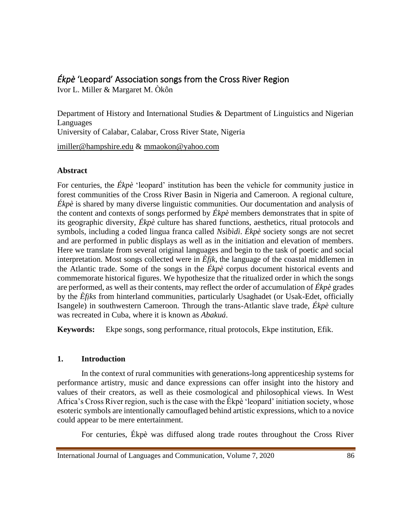## *Ékpè* 'Leopard' Association songs from the Cross River Region

Ivor L. Miller & Margaret M. Òkôn

Department of History and International Studies & Department of Linguistics and Nigerian Languages University of Calabar, Calabar, Cross River State, Nigeria

[imiller@hampshire.edu](mailto:imiller@hampshire.edu) & [mmaokon@yahoo.com](mailto:mmaokon@yahoo.com) 

### **Abstract**

For centuries, the *Ékpè* 'leopard' institution has been the vehicle for community justice in forest communities of the Cross River Basin in Nigeria and Cameroon. A regional culture, *Ékpè* is shared by many diverse linguistic communities. Our documentation and analysis of the content and contexts of songs performed by *Ékpè* members demonstrates that in spite of its geographic diversity, *Ékpè* culture has shared functions, aesthetics, ritual protocols and symbols, including a coded lingua franca called *Nsìbìdì*. *Ékpè* society songs are not secret and are performed in public displays as well as in the initiation and elevation of members. Here we translate from several original languages and begin to the task of poetic and social interpretation. Most songs collected were in *Èfịk*, the language of the coastal middlemen in the Atlantic trade. Some of the songs in the *Ékpè* corpus document historical events and commemorate historical figures. We hypothesize that the ritualized order in which the songs are performed, as well as their contents, may reflect the order of accumulation of *Ékpè* grades by the *Èfịks* from hinterland communities, particularly Usaghadet (or Usak-Edet, officially Isangele) in southwestern Cameroon. Through the trans-Atlantic slave trade, *Ékpè* culture was recreated in Cuba, where it is known as *Abakuá*.

**Keywords:** Ekpe songs, song performance, ritual protocols, Ekpe institution, Efik.

### **1. Introduction**

In the context of rural communities with generations-long apprenticeship systems for performance artistry, music and dance expressions can offer insight into the history and values of their creators, as well as theie cosmological and philosophical views. In West Africa's Cross River region, such is the case with the Ékpè 'leopard' initiation society, whose esoteric symbols are intentionally camouflaged behind artistic expressions, which to a novice could appear to be mere entertainment.

For centuries, Ékpè was diffused along trade routes throughout the Cross River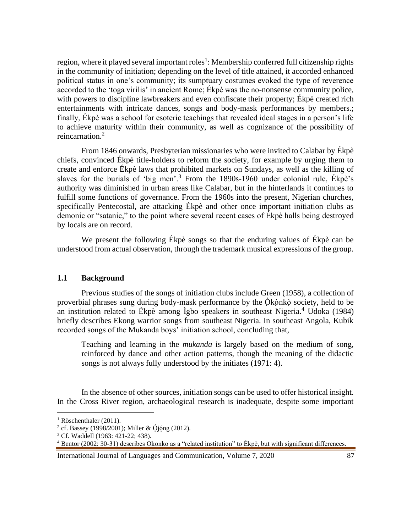region, where it played several important roles<sup>1</sup>: Membership conferred full citizenship rights in the community of initiation; depending on the level of title attained, it accorded enhanced political status in one's community; its sumptuary costumes evoked the type of reverence accorded to the 'toga virilis' in ancient Rome; Ékpè was the no-nonsense community police, with powers to discipline lawbreakers and even confiscate their property; Ékpè created rich entertainments with intricate dances, songs and body-mask performances by members.; finally, Ékpè was a school for esoteric teachings that revealed ideal stages in a person's life to achieve maturity within their community, as well as cognizance of the possibility of reincarnation.<sup>2</sup>

From 1846 onwards, Presbyterian missionaries who were invited to Calabar by Ékpè chiefs, convinced Ékpè title-holders to reform the society, for example by urging them to create and enforce Ékpè laws that prohibited markets on Sundays, as well as the killing of slaves for the burials of 'big men'.<sup>3</sup> From the 1890s-1960 under colonial rule, Ékpè's authority was diminished in urban areas like Calabar, but in the hinterlands it continues to fulfill some functions of governance. From the 1960s into the present, Nigerian churches, specifically Pentecostal, are attacking Ékpè and other once important initiation clubs as demonic or "satanic," to the point where several recent cases of Ékpè halls being destroyed by locals are on record.

We present the following Ékpè songs so that the enduring values of Ékpè can be understood from actual observation, through the trademark musical expressions of the group.

#### **1.1 Background**

Previous studies of the songs of initiation clubs include Green (1958), a collection of proverbial phrases sung during body-mask performance by the  $\hat{O}$ kònkò society, held to be an institution related to Ékpè among Ìgbo speakers in southeast Nigeria.<sup>4</sup> Udoka (1984) briefly describes Ekong warrior songs from southeast Nigeria. In southeast Angola, Kubik recorded songs of the Mukanda boys' initiation school, concluding that,

Teaching and learning in the *mukanda* is largely based on the medium of song, reinforced by dance and other action patterns, though the meaning of the didactic songs is not always fully understood by the initiates (1971: 4).

In the absence of other sources, initiation songs can be used to offer historical insight. In the Cross River region, archaeological research is inadequate, despite some important

<sup>&</sup>lt;sup>1</sup> Röschenthaler (2011).

 $^{2}$  cf. Bassey (1998/2001); Miller & Ójóng (2012).

<sup>3</sup> Cf. Waddell (1963: 421-22; 438).

<sup>4</sup> Bentor (2002: 30-31) describes Okonko as a "related institution" to Ékpè, but with significant differences.

International Journal of Languages and Communication, Volume 7, 2020 87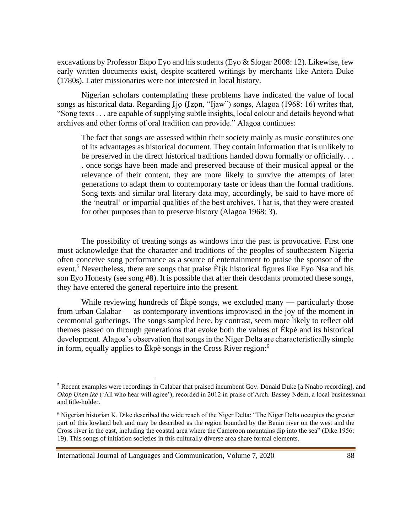excavations by Professor Ekpo Eyo and his students (Eyo & Slogar 2008: 12). Likewise, few early written documents exist, despite scattered writings by merchants like Antera Duke (1780s). Later missionaries were not interested in local history.

Nigerian scholars contemplating these problems have indicated the value of local songs as historical data. Regarding Ijo (Izon, "Ijaw") songs, Alagoa (1968: 16) writes that, "Song texts . . . are capable of supplying subtle insights, local colour and details beyond what archives and other forms of oral tradition can provide." Alagoa continues:

The fact that songs are assessed within their society mainly as music constitutes one of its advantages as historical document. They contain information that is unlikely to be preserved in the direct historical traditions handed down formally or officially. . . . once songs have been made and preserved because of their musical appeal or the relevance of their content, they are more likely to survive the attempts of later generations to adapt them to contemporary taste or ideas than the formal traditions. Song texts and similar oral literary data may, accordingly, be said to have more of the 'neutral' or impartial qualities of the best archives. That is, that they were created for other purposes than to preserve history (Alagoa 1968: 3).

The possibility of treating songs as windows into the past is provocative. First one must acknowledge that the character and traditions of the peoples of southeastern Nigeria often conceive song performance as a source of entertainment to praise the sponsor of the event.<sup>5</sup> Nevertheless, there are songs that praise  $\hat{E}$  fik historical figures like Eyo Nsa and his son Eyo Honesty (see song #8). It is possible that after their descdants promoted these songs, they have entered the general repertoire into the present.

While reviewing hundreds of Ekpè songs, we excluded many — particularly those from urban Calabar — as contemporary inventions improvised in the joy of the moment in ceremonial gatherings. The songs sampled here, by contrast, seem more likely to reflect old themes passed on through generations that evoke both the values of Ékpè and its historical development. Alagoa's observation that songs in the Niger Delta are characteristically simple in form, equally applies to Ékpè songs in the Cross River region:<sup>6</sup>

International Journal of Languages and Communication, Volume 7, 2020 88

<sup>5</sup> Recent examples were recordings in Calabar that praised incumbent Gov. Donald Duke [a Nnabo recording], and *Okop Unen Ike* ('All who hear will agree'), recorded in 2012 in praise of Arch. Bassey Ndem, a local businessman and title-holder.

<sup>6</sup> Nigerian historian K. Dike described the wide reach of the Niger Delta: "The Niger Delta occupies the greater part of this lowland belt and may be described as the region bounded by the Benin river on the west and the Cross river in the east, including the coastal area where the Cameroon mountains dip into the sea" (Dike 1956: 19). This songs of initiation societies in this culturally diverse area share formal elements.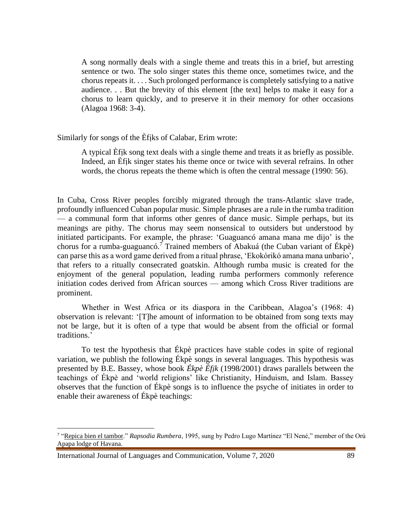A song normally deals with a single theme and treats this in a brief, but arresting sentence or two. The solo singer states this theme once, sometimes twice, and the chorus repeats it. . . . Such prolonged performance is completely satisfying to a native audience. . . But the brevity of this element [the text] helps to make it easy for a chorus to learn quickly, and to preserve it in their memory for other occasions (Alagoa 1968: 3-4).

Similarly for songs of the Èfịks of Calabar, Erim wrote:

A typical Èfịk song text deals with a single theme and treats it as briefly as possible. Indeed, an Èfịk singer states his theme once or twice with several refrains. In other words, the chorus repeats the theme which is often the central message (1990: 56).

In Cuba, Cross River peoples forcibly migrated through the trans-Atlantic slave trade, profoundly influenced Cuban popular music. Simple phrases are a rule in the rumba tradition — a communal form that informs other genres of dance music. Simple perhaps, but its meanings are pithy. The chorus may seem nonsensical to outsiders but understood by initiated participants. For example, the phrase: 'Guaguancó amana mana me dijo' is the chorus for a rumba-guaguancó.<sup>7</sup> Trained members of Abakuá (the Cuban variant of Ékpè) can parse this as a word game derived from a ritual phrase, 'Ekokórikó amana mana unbario', that refers to a ritually consecrated goatskin. Although rumba music is created for the enjoyment of the general population, leading rumba performers commonly reference initiation codes derived from African sources — among which Cross River traditions are prominent.

Whether in West Africa or its diaspora in the Caribbean, Alagoa's (1968: 4) observation is relevant: '[T]he amount of information to be obtained from song texts may not be large, but it is often of a type that would be absent from the official or formal traditions.'

To test the hypothesis that Ékpè practices have stable codes in spite of regional variation, we publish the following Ékpè songs in several languages. This hypothesis was presented by B.E. Bassey, whose book *Ékpè Èfịk* (1998/2001) draws parallels between the teachings of Ékpè and 'world religions' like Christianity, Hinduism, and Islam. Bassey observes that the function of Ékpè songs is to influence the psyche of initiates in order to enable their awareness of Ékpè teachings:

<sup>&</sup>lt;sup>7</sup> ["Repica bien el tambor.](http://cancionerorumbero.blogspot.com/2007/10/repica-bien-el-tambor.html)" *Rapsodia Rumbera*, 1995, sung by Pedro Lugo Martínez "El Nené," member of the Orú Apapa lodge of Havana.

International Journal of Languages and Communication, Volume 7, 2020 89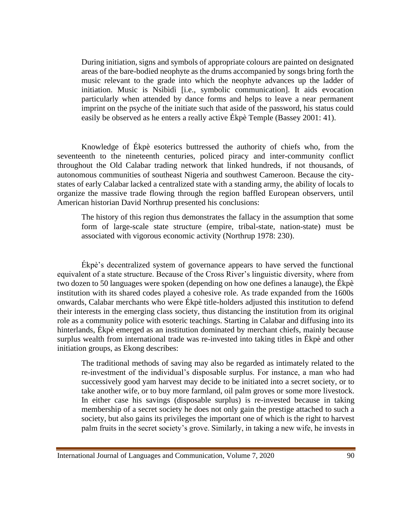During initiation, signs and symbols of appropriate colours are painted on designated areas of the bare-bodied neophyte as the drums accompanied by songs bring forth the music relevant to the grade into which the neophyte advances up the ladder of initiation. Music is Nsìbìdì [i.e., symbolic communication]. It aids evocation particularly when attended by dance forms and helps to leave a near permanent imprint on the psyche of the initiate such that aside of the password, his status could easily be observed as he enters a really active Ékpè Temple (Bassey 2001: 41).

Knowledge of Ékpè esoterics buttressed the authority of chiefs who, from the seventeenth to the nineteenth centuries, policed piracy and inter-community conflict throughout the Old Calabar trading network that linked hundreds, if not thousands, of autonomous communities of southeast Nigeria and southwest Cameroon. Because the citystates of early Calabar lacked a centralized state with a standing army, the ability of locals to organize the massive trade flowing through the region baffled European observers, until American historian David Northrup presented his conclusions:

The history of this region thus demonstrates the fallacy in the assumption that some form of large-scale state structure (empire, tribal-state, nation-state) must be associated with vigorous economic activity (Northrup 1978: 230).

Ékpè's decentralized system of governance appears to have served the functional equivalent of a state structure. Because of the Cross River's linguistic diversity, where from two dozen to 50 languages were spoken (depending on how one defines a lanauge), the Ékpè institution with its shared codes played a cohesive role. As trade expanded from the 1600s onwards, Calabar merchants who were Ékpè title-holders adjusted this institution to defend their interests in the emerging class society, thus distancing the institution from its original role as a community police with esoteric teachings. Starting in Calabar and diffusing into its hinterlands, Ékpè emerged as an institution dominated by merchant chiefs, mainly because surplus wealth from international trade was re-invested into taking titles in Ékpè and other initiation groups, as Ekong describes:

The traditional methods of saving may also be regarded as intimately related to the re-investment of the individual's disposable surplus. For instance, a man who had successively good yam harvest may decide to be initiated into a secret society, or to take another wife, or to buy more farmland, oil palm groves or some more livestock. In either case his savings (disposable surplus) is re-invested because in taking membership of a secret society he does not only gain the prestige attached to such a society, but also gains its privileges the important one of which is the right to harvest palm fruits in the secret society's grove. Similarly, in taking a new wife, he invests in

International Journal of Languages and Communication, Volume 7, 2020 90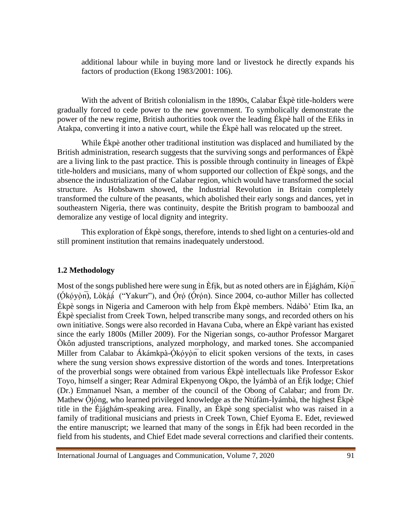additional labour while in buying more land or livestock he directly expands his factors of production (Ekong 1983/2001: 106).

With the advent of British colonialism in the 1890s, Calabar Ékpè title-holders were gradually forced to cede power to the new government. To symbolically demonstrate the power of the new regime, British authorities took over the leading Ékpè hall of the Efiks in Atakpa, converting it into a native court, while the Ékpè hall was relocated up the street.

While Ékpè another other traditional institution was displaced and humiliated by the British administration, research suggests that the surviving songs and performances of Ékpè are a living link to the past practice. This is possible through continuity in lineages of Ékpè title-holders and musicians, many of whom supported our collection of Ékpè songs, and the absence the industrialization of the Calabar region, which would have transformed the social structure. As Hobsbawm showed, the Industrial Revolution in Britain completely transformed the culture of the peasants, which abolished their early songs and dances, yet in southeastern Nigeria, there was continuity, despite the British program to bamboozal and demoralize any vestige of local dignity and integrity.

This exploration of Ékpè songs, therefore, intends to shed light on a centuries-old and still prominent institution that remains inadequately understood.

#### **1.2 Methodology**

Most of the songs published here were sung in Èfik, but as noted others are in Éjághám, Kíòn  $(\acute{O}k\acute{o}v\acute{o}n)$ , Lòkáá<sup>' ("</sup>Yakurr"), and Óró (Órón). Since 2004, co-author Miller has collected Ékpè songs in Nigeria and Cameroon with help from Ékpè members. Ǹdábò' Etim Ika, an Ékpè specialist from Creek Town, helped transcribe many songs, and recorded others on his own initiative. Songs were also recorded in Havana Cuba, where an Ékpè variant has existed since the early 1800s (Miller 2009). For the Nigerian songs, co-author Professor Margaret Òkôn adjusted transcriptions, analyzed morphology, and marked tones. She accompanied Miller from Calabar to Ákámkpà-Ókóvòn to elicit spoken versions of the texts, in cases where the sung version shows expressive distortion of the words and tones. Interpretations of the proverbial songs were obtained from various Ékpè intellectuals like Professor Eskor Toyo, himself a singer; Rear Admiral Ekpenyong Okpo, the Ìyámbà of an Èfịk lodge; Chief (Dr.) Emmanuel Nsan, a member of the council of the Obong of Calabar; and from Dr. Mathew Ójóng, who learned privileged knowledge as the Ntúfàm-Ìyámbà, the highest Ékpè title in the Éjághám-speaking area. Finally, an Ékpè song specialist who was raised in a family of traditional musicians and priests in Creek Town, Chief Eyoma E. Edet, reviewed the entire manuscript; we learned that many of the songs in Èfịk had been recorded in the field from his students, and Chief Edet made several corrections and clarified their contents.

International Journal of Languages and Communication, Volume 7, 2020 91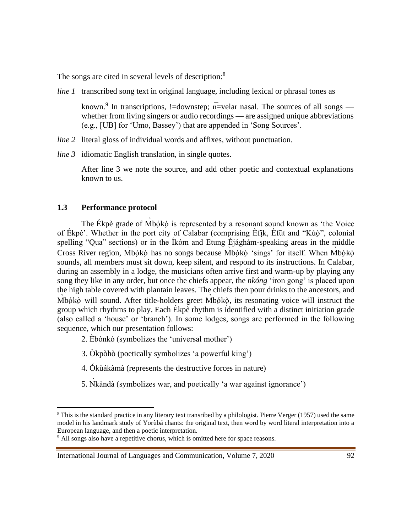The songs are cited in several levels of description:<sup>8</sup>

*line 1* transcribed song text in original language, including lexical or phrasal tones as

known.<sup>9</sup> In transcriptions, !=downstep;  $\overline{n}$ =velar nasal. The sources of all songs whether from living singers or audio recordings — are assigned unique abbreviations (e.g., [UB] for 'Umo, Bassey') that are appended in 'Song Sources'.

- *line 2* literal gloss of individual words and affixes, without punctuation.
- *line 3* idiomatic English translation, in single quotes.

After line 3 we note the source, and add other poetic and contextual explanations known to us.

#### **1.3 Performance protocol**

The Ékpè grade of Mbókò is represented by a resonant sound known as 'the Voice of Ékpè'. Whether in the port city of Calabar (comprising Èfịk, Èfût and "Kúọ̀", colonial spelling "Qua" sections) or in the Íkóm and Etung Éjághám-speaking areas in the middle Cross River region, Mbókò has no songs because Mbókò 'sings' for itself. When Mbókò sounds, all members must sit down, keep silent, and respond to its instructions. In Calabar, during an assembly in a lodge, the musicians often arrive first and warm-up by playing any song they like in any order, but once the chiefs appear, the *nkóng* 'iron gong' is placed upon the high table covered with plantain leaves. The chiefs then pour drinks to the ancestors, and Mbókò will sound. After title-holders greet Mbókò, its resonating voice will instruct the ̣ group which rhythms to play. Each Ékpè rhythm is identified with a distinct initiation grade (also called a 'house' or 'branch'). In some lodges, songs are performed in the following sequence, which our presentation follows:

- 2. Èbònkó (symbolizes the 'universal mother')
- 3. Òkpòhò (poetically symbolizes 'a powerful king')
- 4. Ókùákàmà (represents the destructive forces in nature)
- 5. Nkàndà (symbolizes war, and poetically 'a war against ignorance')

<sup>8</sup> This is the standard practice in any literary text transribed by a philologist. Pierre Verger (1957) used the same model in his landmark study of Yorùbá chants: the original text, then word by word literal interpretation into a European language, and then a poetic interpretation.

<sup>&</sup>lt;sup>9</sup> All songs also have a repetitive chorus, which is omitted here for space reasons.

International Journal of Languages and Communication, Volume 7, 2020 92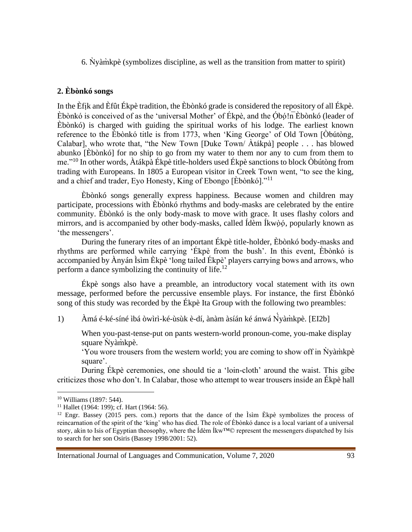6. Ǹyàm̀kpè (symbolizes discipline, as well as the transition from matter to spirit)

## **2. Èbònkó songs**

In the Èfịk and Èfût Ékpè tradition, the Èbònkó grade is considered the repository of all Ékpè. Èbònkó is conceived of as the 'universal Mother' of Ékpè, and the Óbó!n Ebònkó (leader of Èbònkó) is charged with guiding the spiritual works of his lodge. The earliest known reference to the Èbònkó title is from 1773, when 'King George' of Old Town [Òbútòng, Calabar], who wrote that, "the New Town [Duke Town/ Àtákpà] people . . . has blowed abunko [Èbònkó] for no ship to go from my water to them nor any to cum from them to me."<sup>10</sup> In other words, Àtákpà Ékpè title-holders used Ékpè sanctions to block Òbútòng from trading with Europeans. In 1805 a European visitor in Creek Town went, "to see the king, and a chief and trader, Eyo Honesty, King of Ebongo [Èbònkó]."<sup>11</sup>

Èbònkó songs generally express happiness. Because women and children may participate, processions with Èbònkó rhythms and body-masks are celebrated by the entire community. Èbònkó is the only body-mask to move with grace. It uses flashy colors and mirrors, and is accompanied by other body-masks, called Ídèm Íkwòó, popularly known as 'the messengers'.

During the funerary rites of an important Ékpè title-holder, Èbònkó body-masks and rhythms are performed while carrying 'Ékpè from the bush'. In this event, Èbònkó is accompanied by Ànyán Ìsìm Èkpè 'long tailed Ékpè' players carrying bows and arrows, who perform a dance symbolizing the continuity of life.<sup>12</sup>

Ékpè songs also have a preamble, an introductory vocal statement with its own message, performed before the percussive ensemble plays. For instance, the first Èbònkó song of this study was recorded by the Ékpè Ita Group with the following two preambles:

1) Àmá é-ké-síné ìbá òwìrì-ké-ùsùk è-dí, ànàm àsíán ké ánwá Ń ̀yàm̀kpè. [EI2b]

When you-past-tense-put on pants western-world pronoun-come, you-make display square Nyamkpè.

'You wore trousers from the western world; you are coming to show off in  $\dot{N}$ yàm̀kpè square'.

During Ékpè ceremonies, one should tie a 'loin-cloth' around the waist. This gibe criticizes those who don't. In Calabar, those who attempt to wear trousers inside an Ékpè hall

<sup>10</sup> Williams (1897: 544).

<sup>&</sup>lt;sup>11</sup> Hallet (1964: 199); cf. Hart (1964: 56).

<sup>&</sup>lt;sup>12</sup> Engr. Bassey (2015 pers. com.) reports that the dance of the  $\overrightarrow{\text{ls}}$  im Ekpè symbolizes the process of reincarnation of the spirit of the 'king' who has died. The role of Èbònkó dance is a local variant of a universal story, akin to Isis of Egyptian theosophy, where the Ídèm Íkw™© represent the messengers dispatched by Isis to search for her son Osiris (Bassey 1998/2001: 52).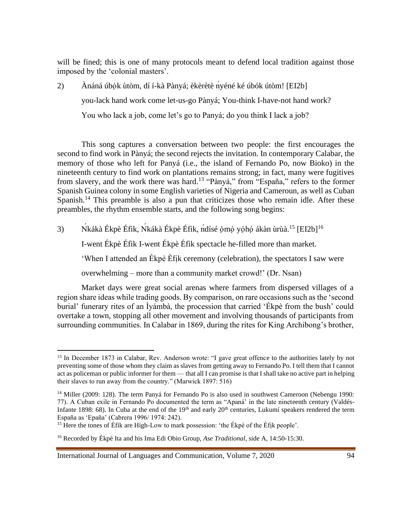will be fined; this is one of many protocols meant to defend local tradition against those imposed by the 'colonial masters'.

2) Ànáná úbọ̀k ùtòm, dí í-kà Pànyá; èkèrètè ńyéné ké úbók útòm! [EI2b] you-lack hand work come let-us-go Pànyá; You-think I-have-not hand work?

You who lack a job, come let's go to Panyá; do you think I lack a job?

This song captures a conversation between two people: the first encourages the second to find work in Pànyá; the second rejects the invitation. In contemporary Calabar, the memory of those who left for Panyá (i.e., the island of Fernando Po, now Bioko) in the nineteenth century to find work on plantations remains strong; in fact, many were fugitives from slavery, and the work there was hard.<sup>13</sup> "Pànyá," from "España," refers to the former Spanish Guinea colony in some English varieties of Nigeria and Cameroun, as well as Cuban Spanish.<sup>14</sup> This preamble is also a pun that criticizes those who remain idle. After these preambles, the rhythm ensemble starts, and the following song begins:

3) Nkákà Ékpè Éfik, Nkákà Ékpè Éfik, ndísé ómó yóhó ákàn ùrùà.<sup>15</sup> [EI2b]<sup>16</sup>

I-went Ékpè Éfìk I-went Ékpè Éfìk spectacle he-filled more than market.

'When I attended an Ékpè Èfịk ceremony (celebration), the spectators I saw were

overwhelming – more than a community market crowd!' (Dr. Nsan)

Market days were great social arenas where farmers from dispersed villages of a region share ideas while trading goods. By comparison, on rare occasions such as the 'second burial' funerary rites of an Ìyámbà, the procession that carried 'Ékpè from the bush' could overtake a town, stopping all other movement and involving thousands of participants from surrounding communities. In Calabar in 1869, during the rites for King Archibong's brother,

<sup>&</sup>lt;sup>13</sup> In December 1873 in Calabar, Rev. Anderson wrote: "I gave great offence to the authorities lately by not preventing some of those whom they claim as slaves from getting away to Fernando Po. I tell them that I cannot act as policeman or public informer for them — that all I can promise is that I shall take no active part in helping their slaves to run away from the country." (Marwick 1897: 516)

<sup>&</sup>lt;sup>14</sup> Miller (2009: 128). The term Panyá for Fernando Po is also used in southwest Cameroon (Nebengu 1990: 77). A Cuban exile in Fernando Po documented the term as "Apaná' in the late nineteenth century (Valdés-Infante 1898: 68). In Cuba at the end of the 19<sup>th</sup> and early 20<sup>th</sup> centuries, Lukumí speakers rendered the term España as 'Epaña' (Cabrera 1996/ 1974: 242).

<sup>&</sup>lt;sup>15</sup> Here the tones of Éfik are High-Low to mark possession: 'the Ékpè of the Èfik people'.

<sup>16</sup> Recorded by Ékpè Ita and his Ima Edi Obio Group, *Ase Traditional*, side A, 14:50-15:30.

International Journal of Languages and Communication, Volume 7, 2020 94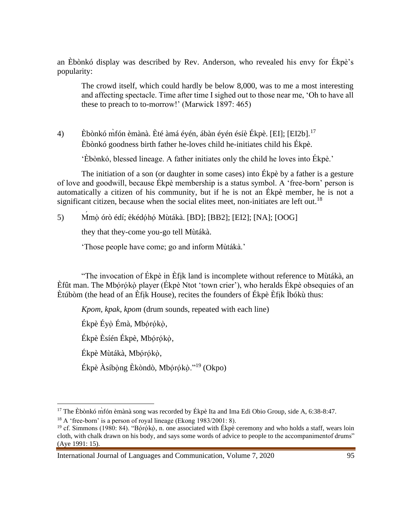an Èbònkó display was described by Rev. Anderson, who revealed his envy for Ékpè's popularity:

The crowd itself, which could hardly be below 8,000, was to me a most interesting and affecting spectacle. Time after time I sighed out to those near me, 'Oh to have all these to preach to to-morrow!' (Marwick 1897: 465)

4) Èbònkó m̀fón èmànà. Èté àmá éyén, ábàn éyén ésíè Ékpè. [EI]; [EI2b].<sup>17</sup> Èbònkó goodness birth father he-loves child he-initiates child his Ékpè.

'Èbònkó, blessed lineage. A father initiates only the child he loves into Ékpè.'

The initiation of a son (or daughter in some cases) into Ékpè by a father is a gesture of love and goodwill, because Ékpè membership is a status symbol. A 'free-born' person is automatically a citizen of his community, but if he is not an Ékpè member, he is not a significant citizen, because when the social elites meet, non-initiates are left out.<sup>18</sup>

5) Ḿmọ̀ órò édí; èkédọ́họ́ Mùtákà. [BD]; [BB2]; [EI2]; [NA]; [OOG]

they that they-come you-go tell Mùtákà.

'Those people have come; go and inform Mùtákà.'

"The invocation of Ékpè in Èfịk land is incomplete without reference to Mùtákà, an Èfût man. The Mbórókò player (Ékpè Ntot 'town crier'), who heralds Ékpè obsequies of an Ètúbòm (the head of an Èfịk House), recites the founders of Ékpè Èfịk Ìbókù thus:

*Kpom, kpak, kpom* (drum sounds, repeated with each line)

Ékpè Éyò Émà, Mbórókò,

Ékpè Èsíén Ékpè, Mbórókò,

Ékpè Mùtákà, Mbórókò,

Ékpè Àsíbọ̀ng Èkòndò, Mbọ́rọ́kọ̀."<sup>19</sup> (Okpo)

<sup>&</sup>lt;sup>17</sup> The Èbònkó mì comànà song was recorded by Ékpè Ita and Ima Edi Obio Group, side A, 6:38-8:47.

 $18$  A 'free-born' is a person of royal lineage (Ekong 1983/2001: 8).

<sup>&</sup>lt;sup>19</sup> cf. Simmons (1980: 84). "Bọ́rọ́kọ̀, n. one associated with Ékpè ceremony and who holds a staff, wears loin cloth, with chalk drawn on his body, and says some words of advice to people to the accompanimentof drums" (Aye 1991: 15).

International Journal of Languages and Communication, Volume 7, 2020 95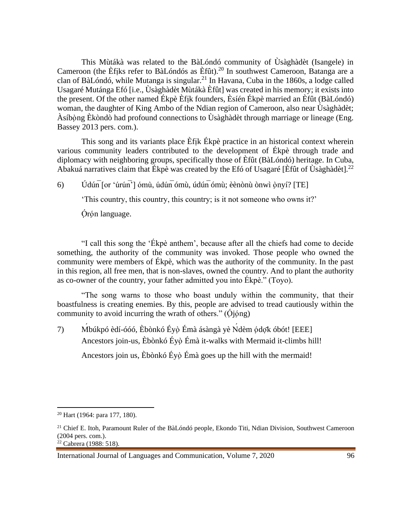This Mùtákà was related to the BàLóndó community of Ùsàghàdèt (Isangele) in Cameroon (the Èfiks refer to BàLóndós as Èfût).<sup>20</sup> In southwest Cameroon, Batanga are a clan of BàLóndó, while Mutanga is singular.<sup>21</sup> In Havana, Cuba in the 1860s, a lodge called Usagaré Mutánga Efó [i.e., Ùsàghàdèt Mùtákà Èfût] was created in his memory; it exists into the present. Of the other named Ékpè Èfịk founders, Èsíén Ékpè married an Èfût (BàLóndó) woman, the daughter of King Ambo of the Ndian region of Cameroon, also near Ùsàghàdèt; Àsíbọ̀ng Èkòndò had profound connections to Ùsàghàdèt through marriage or lineage (Eng. Bassey 2013 pers. com.).

This song and its variants place Efik Ékpè practice in an historical context wherein various community leaders contributed to the development of Ékpè through trade and diplomacy with neighboring groups, specifically those of Èfût (BàLóndó) heritage. In Cuba, Abakuá narratives claim that Ékpè was created by the Efó of Usagaré [Efût of Ùsàghàdèt].<sup>22</sup>

6) Údún $\overline{or 'w'w'}$ ] ómù, údún $\overline{om}$ , údún $\overline{om}$ ; èènònù ònwì ọ̀nyí? [TE]

'This country, this country, this country; is it not someone who owns it?'

Órón language.

"I call this song the 'Ékpè anthem', because after all the chiefs had come to decide something, the authority of the community was invoked. Those people who owned the community were members of Ékpè, which was the authority of the community. In the past in this region, all free men, that is non-slaves, owned the country. And to plant the authority as co-owner of the country, your father admitted you into Ékpè." (Toyo).

"The song warns to those who boast unduly within the community, that their boastfulness is creating enemies. By this, people are advised to tread cautiously within the community to avoid incurring the wrath of others."  $(\dot{Q}$  $\dot{\rho}$  $\dot{\rho}$ 

7) Ḿbúkpó èdí-óóó, Èbònkó Éyọ̀Émà ásàngà yè Ńdèm ọ́dọ̄k óbót! [EEE] Ancestors join-us, Èbònkó Éyọ̀ Émà it-walks with Mermaid it-climbs hill!

Ancestors join us, Èbònkó Éyọ̀ Émà goes up the hill with the mermaid!

<sup>20</sup> Hart (1964: para 177, 180).

<sup>&</sup>lt;sup>21</sup> Chief E. Itoh, Paramount Ruler of the BàLóndó people, Ekondo Titi, Ndian Division, Southwest Cameroon (2004 pers. com.).  $22$  Cabrera (1988: 518).

International Journal of Languages and Communication, Volume 7, 2020 96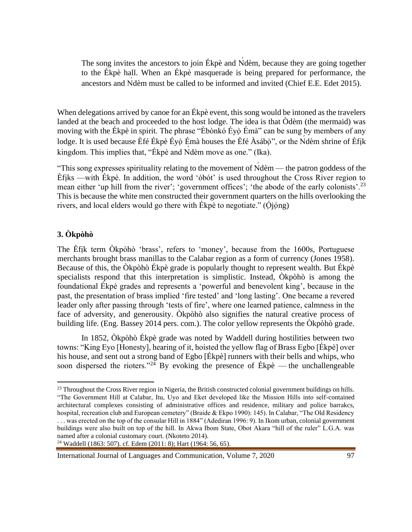The song invites the ancestors to join Ékpè and Ńdèm, because they are going together to the Ékpè hall. When an Ékpè masquerade is being prepared for performance, the ancestors and Ńdèm must be called to be informed and invited (Chief E.E. Edet 2015).

When delegations arrived by canoe for an Ékpè event, this song would be intoned as the travelers landed at the beach and proceeded to the host lodge. The idea is that Òdèm (the mermaid) was moving with the Ékpè in spirit. The phrase "Èbònkó Éyọ̀Émà" can be sung by members of any lodge. It is used because Èfé Ékpè Éyò Émà houses the Èfé Àsábò", or the Ndèm shrine of Èfik kingdom. This implies that, "Ékpè and Ńdèm move as one." (Ika).

"This song expresses spirituality relating to the movement of Ńdèm — the patron goddess of the Èfịks —with Ékpè. In addition, the word 'óbót' is used throughout the Cross River region to mean either 'up hill from the river'; 'government offices'; 'the abode of the early colonists'.<sup>23</sup> This is because the white men constructed their government quarters on the hills overlooking the rivers, and local elders would go there with Ékpè to negotiate."  $(\dot{O}_i)$ 

## **3. Òkpòhò**

The Èfịk term Òkpòhò 'brass', refers to 'money', because from the 1600s, Portuguese merchants brought brass manillas to the Calabar region as a form of currency (Jones 1958). Because of this, the Òkpòhò Ékpè grade is popularly thought to represent wealth. But Ékpè specialists respond that this interpretation is simplistic. Instead, Òkpòhò is among the foundational Ékpè grades and represents a 'powerful and benevolent king', because in the past, the presentation of brass implied 'fire tested' and 'long lasting'. One became a revered leader only after passing through 'tests of fire', where one learned patience, calmness in the face of adversity, and generousity. Òkpòhò also signifies the natural creative process of building life. (Eng. Bassey 2014 pers. com.). The color yellow represents the Òkpòhò grade.

In 1852, Òkpòhò Ékpè grade was noted by Waddell during hostilities between two towns: "King Eyo [Honesty], hearing of it, hoisted the yellow flag of Brass Egbo [Ékpè] over his house, and sent out a strong band of Egbo [Ékpè] runners with their bells and whips, who soon dispersed the rioters."<sup>24</sup> By evoking the presence of Ékpè — the unchallengeable

<sup>&</sup>lt;sup>23</sup> Throughout the Cross River region in Nigeria, the British constructed colonial government buildings on hills. "The Government Hill at Calabar, Itu, Uyo and Eket developed like the Mission Hills into self-contained architectural complexes consisting of administrative offices and residence, military and police barrakcs, hospital, recreation club and European cemetery" (Braide & Ekpo 1990): 145). In Calabar, "The Old Residency . . . was erected on the top of the consular Hill in 1884" (Adediran 1996: 9). In Ikom urban, colonial government buildings were also built on top of the hill. In Akwa Ibom State, Obot Akara "hill of the ruler" L.G.A. was named after a colonial customary court. (Nkoteto 2014).

<sup>24</sup> Waddell (1863: 507). cf. Edem (2011: 8); Hart (1964: 56, 65).

International Journal of Languages and Communication, Volume 7, 2020 97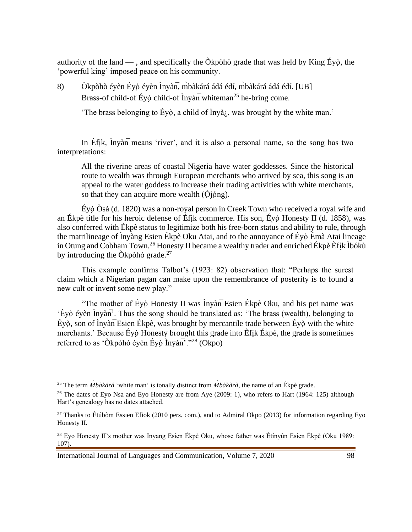authority of the land — , and specifically the  $\hat{O}$ kpòhò grade that was held by King Éyò, the 'powerful king' imposed peace on his community.

8) Òkpòhò éyèn Éyò éyèn Ìnyàn, m`bàkárá ádá édí, m`bàkárá ádá édí. [UB] Brass-of child-of Éyọ̀ child-of Ìnyàn whiteman<sup>25</sup> he-bring come.

'The brass belonging to Éyọ̀, a child of Ìnyà<sub>i</sub>, was brought by the white man.'

In Èf<sub>ik</sub>, Inyàn means 'river', and it is also a personal name, so the song has two interpretations:

All the riverine areas of coastal Nigeria have water goddesses. Since the historical route to wealth was through European merchants who arrived by sea, this song is an appeal to the water goddess to increase their trading activities with white merchants, so that they can acquire more wealth  $(\dot{O}_i)$ <sub>i</sub> $\dot{\rho}_i$ <sub>2</sub>.

Éyọ̀Òsà (d. 1820) was a non-royal person in Creek Town who received a royal wife and an Ékpè title for his heroic defense of Èfịk commerce. His son, Éyọ̀ Honesty II (d. 1858), was also conferred with Ékpè status to legitimize both his free-born status and ability to rule, through the matrilineage of Ìnyàng Esien Ékpè Oku Atai, and to the annoyance of Éyọ̀Émà Atai lineage in Otung and Cobham Town.<sup>26</sup> Honesty II became a wealthy trader and enriched Ékpè Èfịk Ìbókù by introducing the Òkpòhò grade. $^{27}$ 

This example confirms Talbot's (1923: 82) observation that: "Perhaps the surest claim which a Nigerian pagan can make upon the remembrance of posterity is to found a new cult or invent some new play."

"The mother of Éyọ̀ Honesty II was Ìnyàn̅Esien Ékpè Oku, and his pet name was 'Éyọ̀ éyèn Ìnyàn̅'. Thus the song should be translated as: 'The brass (wealth), belonging to  $Éy$ ọ̀, son of Ìnyàn $\overline{E}$ sien Ékpè, was brought by mercantile trade between Éyọ̀ with the white merchants.' Because Éyò Honesty brought this grade into Èfik Ékpè, the grade is sometimes referred to as 'Òkpòhò éyèn Éyò Ìnyàn''."<sup>28</sup> (Okpo)

International Journal of Languages and Communication, Volume 7, 2020 98

<sup>25</sup> The term *M*̀*bàkárá* 'white man' is tonally distinct from *M*̀*bàkàrà*, the name of an Ékpè grade.

<sup>&</sup>lt;sup>26</sup> The dates of Eyo Nsa and Eyo Honesty are from Aye (2009: 1), who refers to Hart (1964: 125) although Hart's genealogy has no dates attached.

<sup>&</sup>lt;sup>27</sup> Thanks to Ètúbòm Essien Efiok (2010 pers. com.), and to Admiral Okpo (2013) for information regarding Eyo Honesty II.

<sup>28</sup> Eyo Honesty II's mother was Inyang Esien Ékpè Oku, whose father was Ètínyûn Esien Ékpè (Oku 1989: 107).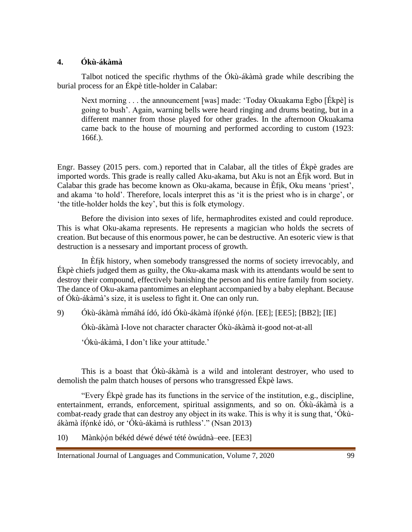### **4. Ókù-ákàmà**

Talbot noticed the specific rhythms of the Ókù-ákàmà grade while describing the burial process for an Ékpè title-holder in Calabar:

Next morning . . . the announcement [was] made: 'Today Okuakama Egbo [Ékpè] is going to bush'. Again, warning bells were heard ringing and drums beating, but in a different manner from those played for other grades. In the afternoon Okuakama came back to the house of mourning and performed according to custom (1923: 166f.).

Engr. Bassey (2015 pers. com.) reported that in Calabar, all the titles of Ékpè grades are imported words. This grade is really called Aku-akama, but Aku is not an Èfịk word. But in Calabar this grade has become known as Oku-akama, because in Èfịk, Oku means 'priest', and akama 'to hold'. Therefore, locals interpret this as 'it is the priest who is in charge', or 'the title-holder holds the key', but this is folk etymology.

Before the division into sexes of life, hermaphrodites existed and could reproduce. This is what Oku-akama represents. He represents a magician who holds the secrets of creation. But because of this enormous power, he can be destructive. An esoteric view is that destruction is a nessesary and important process of growth.

In Èfịk history, when somebody transgressed the norms of society irrevocably, and Ékpè chiefs judged them as guilty, the Oku-akama mask with its attendants would be sent to destroy their compound, effectively banishing the person and his entire family from society. The dance of Oku-akama pantomimes an elephant accompanied by a baby elephant. Because of Ókù-ákàmà's size, it is useless to fight it. One can only run.

9) Ókù-ákàmà mmáhá ídó, ídó Ókù-ákàmà ífónké ófón. [EE]; [EE5]; [BB2]; [IE]

Ókù-ákàmà I-love not character character Ókù-ákàmà it-good not-at-all

'Ókù-ákàmà, I don't like your attitude.'

This is a boast that Ókù-ákàmà is a wild and intolerant destroyer, who used to demolish the palm thatch houses of persons who transgressed Ékpè laws.

"Every Ékpè grade has its functions in the service of the institution, e.g., discipline, entertainment, errands, enforcement, spiritual assignments, and so on. Ókù-ákàmà is a combat-ready grade that can destroy any object in its wake. This is why it is sung that, 'Ókùákàmà ífọ́nké ídó, or 'Ókù-ákàmà is ruthless'." (Nsan 2013)

10) Mànkòón békéd déwé déwé tété òwúdnà–eee. [EE3]

International Journal of Languages and Communication, Volume 7, 2020 99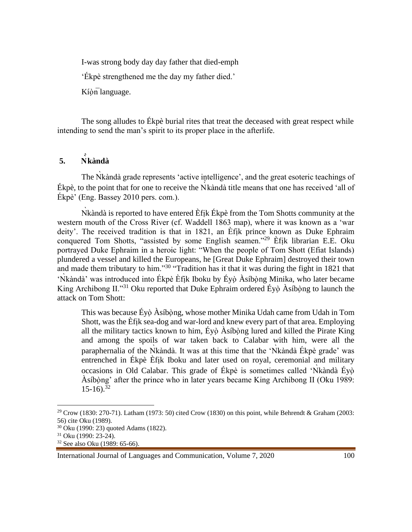I-was strong body day day father that died-emph

'Ékpè strengthened me the day my father died.'

Kíòn language.

The song alludes to Ékpè burial rites that treat the deceased with great respect while intending to send the man's spirit to its proper place in the afterlife.

## **5. Ǹ ̀kàndà**

The Nkàndà grade represents 'active intelligence', and the great esoteric teachings of Ékpè, to the point that for one to receive the Ǹ ̀kàndà title means that one has received 'all of Ékpè' (Eng. Bassey 2010 pers. com.).

Nkàndà is reported to have entered Èfik Ékpè from the Tom Shotts community at the western mouth of the Cross River (cf. Waddell 1863 map), where it was known as a 'war deity'. The received tradition is that in 1821, an Èfịk prince known as Duke Ephraim conquered Tom Shotts, "assisted by some English seamen."<sup>29</sup> Èfik librarian E.E. Oku portrayed Duke Ephraim in a heroic light: "When the people of Tom Shott (Efiat Islands) plundered a vessel and killed the Europeans, he [Great Duke Ephraim] destroyed their town and made them tributary to him."<sup>30</sup> "Tradition has it that it was during the fight in 1821 that 'Nkàndà' was introduced into Ékpè Èfik Iboku by Éyò Àsíbòng Minika, who later became King Archibong II."<sup>31</sup> Oku reported that Duke Ephraim ordered Éyò Asíbòng to launch the attack on Tom Shott:

This was because Éyọ̀Àsíbọ̀ng, whose mother Minika Udah came from Udah in Tom Shott, was the Èfịk sea-dog and war-lord and knew every part of that area. Employing all the military tactics known to him, Éyọ̀ Àsíbọ̀ng lured and killed the Pirate King and among the spoils of war taken back to Calabar with him, were all the paraphernalia of the Nkàndà. It was at this time that the 'Nkàndà Ékpè grade' was entrenched in Ékpè Èfịk Iboku and later used on royal, ceremonial and military occasions in Old Calabar. This grade of Ékpè is sometimes called 'Ǹkàndà Éyọ̀ Àsíbọ̀ng' after the prince who in later years became King Archibong II (Oku 1989:  $15-16$ .<sup>32</sup>

<sup>&</sup>lt;sup>29</sup> Crow (1830: 270-71). Latham (1973: 50) cited Crow (1830) on this point, while Behrendt & Graham (2003: 56) cite Oku (1989).

<sup>30</sup> Oku (1990: 23) quoted Adams (1822).

<sup>31</sup> Oku (1990: 23-24).

<sup>32</sup> See also Oku (1989: 65-66).

International Journal of Languages and Communication, Volume 7, 2020 100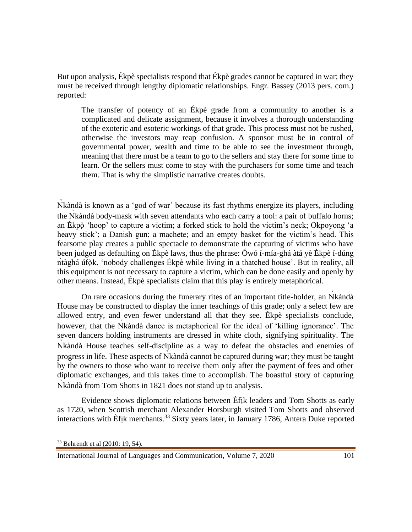But upon analysis, Ékpè specialists respond that Ékpè grades cannot be captured in war; they must be received through lengthy diplomatic relationships. Engr. Bassey (2013 pers. com.) reported:

The transfer of potency of an Ékpè grade from a community to another is a complicated and delicate assignment, because it involves a thorough understanding of the exoteric and esoteric workings of that grade. This process must not be rushed, otherwise the investors may reap confusion. A sponsor must be in control of governmental power, wealth and time to be able to see the investment through, meaning that there must be a team to go to the sellers and stay there for some time to learn. Or the sellers must come to stay with the purchasers for some time and teach them. That is why the simplistic narrative creates doubts.

Nkàndà is known as a 'god of war' because its fast rhythms energize its players, including the Nkàndà body-mask with seven attendants who each carry a tool: a pair of buffalo horns; an Ékpọ̀ 'hoop' to capture a victim; a forked stick to hold the victim's neck; Okpoyong 'a heavy stick'; a Danish gun; a machete; and an empty basket for the victim's head. This fearsome play creates a public spectacle to demonstrate the capturing of victims who have been judged as defaulting on Ékpè laws, thus the phrase: Ówó í-mía-ghá àtá yè Ékpè í-dúng ntàghá úfọ̀k, 'nobody challenges Ékpè while living in a thatched house'. But in reality, all this equipment is not necessary to capture a victim, which can be done easily and openly by other means. Instead, Ékpè specialists claim that this play is entirely metaphorical.

On rare occasions during the funerary rites of an important title-holder, an Nkanda House may be constructed to display the inner teachings of this grade; only a select few are allowed entry, and even fewer understand all that they see. Ékpè specialists conclude, however, that the Nkàndà dance is metaphorical for the ideal of 'killing ignorance'. The seven dancers holding instruments are dressed in white cloth, signifying spirituality. The Nkàndà House teaches self-discipline as a way to defeat the obstacles and enemies of progress in life. These aspects of Ǹkàndà cannot be captured during war; they must be taught by the owners to those who want to receive them only after the payment of fees and other diplomatic exchanges, and this takes time to accomplish. The boastful story of capturing Nkàndà from Tom Shotts in 1821 does not stand up to analysis.

Evidence shows diplomatic relations between Èfịk leaders and Tom Shotts as early as 1720, when Scottish merchant Alexander Horsburgh visited Tom Shotts and observed interactions with Èfik merchants.<sup>33</sup> Sixty years later, in January 1786, Antera Duke reported

<sup>33</sup> Behrendt et al (2010: 19, 54).

International Journal of Languages and Communication, Volume 7, 2020 101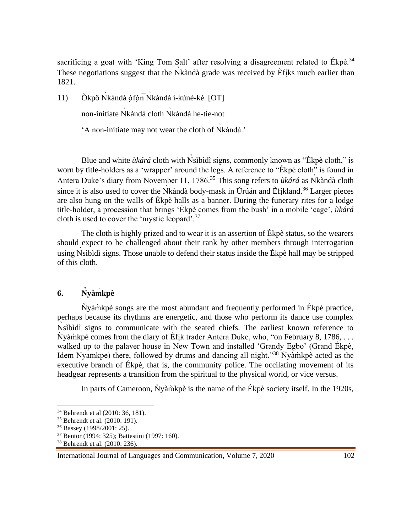sacrificing a goat with 'King Tom Salt' after resolving a disagreement related to Ékpè.<sup>34</sup> These negotiations suggest that the Nkàndà grade was received by Efiks much earlier than 1821.

11) Òkpô Nkàndà ọ̀fọ̀n Nkàndà í-kúné-ké. [OT]

non-initiate Ǹkàndà cloth Ǹkàndà he-tie-not

'A non-initiate may not wear the cloth of Nkàndà.'

Blue and white *ùkárá* cloth with Nsìbìdì signs, commonly known as "Ékpè cloth," is worn by title-holders as a 'wrapper' around the legs. A reference to "Ékpè cloth" is found in Antera Duke's diary from November 11, 1786.<sup>35</sup> This song refers to *ùkárá* as Nkàndà cloth since it is also used to cover the  $\overrightarrow{N}$ kàndà body-mask in Úrúán and Èfikland.<sup>36</sup> Larger pieces are also hung on the walls of Ékpè halls as a banner. During the funerary rites for a lodge title-holder, a procession that brings 'Ékpè comes from the bush' in a mobile 'cage', *ùkárá* cloth is used to cover the 'mystic leopard'.<sup>37</sup>

The cloth is highly prized and to wear it is an assertion of Ékpè status, so the wearers should expect to be challenged about their rank by other members through interrogation using Nsibidì signs. Those unable to defend their status inside the Ékpè hall may be stripped of this cloth.

## **6. Ǹyà**m̀**kpè**

Ǹyàm̀kpè songs are the most abundant and frequently performed in Ékpè practice, perhaps because its rhythms are energetic, and those who perform its dance use complex Nsibìdì signs to communicate with the seated chiefs. The earliest known reference to  $\dot{N}$ yàm̀kpè comes from the diary of Èfik trader Antera Duke, who, "on February 8, 1786, ... walked up to the palaver house in New Town and installed 'Grandy Egbo' (Grand Ékpè, Idem Nyamkpe) there, followed by drums and dancing all night."<sup>38</sup> Nyamikpe acted as the executive branch of Ékpè, that is, the community police. The occilating movement of its headgear represents a transition from the spiritual to the physical world, or vice versus.

In parts of Cameroon,  $\dot{N}$ yàm̀kpè is the name of the Ékpè society itself. In the 1920s,

<sup>34</sup> Behrendt et al (2010: 36, 181).

<sup>35</sup> Behrendt et al. (2010: 191).

<sup>36</sup> Bassey (1998/2001: 25).

<sup>37</sup> Bentor (1994: 325); Battestini (1997: 160).

<sup>38</sup> Behrendt et al. (2010: 236).

International Journal of Languages and Communication, Volume 7, 2020 102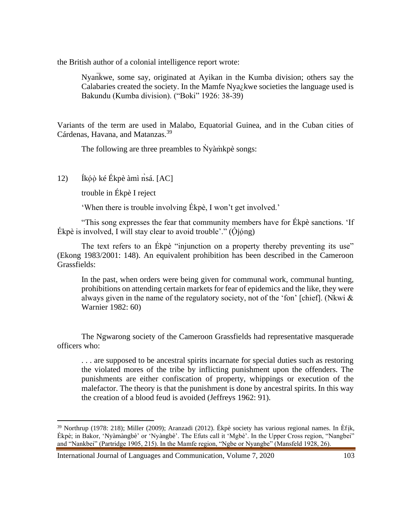the British author of a colonial intelligence report wrote:

Nyan̅kwe, some say, originated at Ayikan in the Kumba division; others say the Calabaries created the society. In the Mamfe Nya¿kwe societies the language used is Bakundu (Kumba division). ("Boki" 1926: 38-39)

Variants of the term are used in Malabo, Equatorial Guinea, and in the Cuban cities of Cárdenas, Havana, and Matanzas.<sup>39</sup>

The following are three preambles to  $\dot{N}$ yàm̀kpè songs:

12) Íkó $\phi$  ké Ékpè àmì nsá. [AC]

trouble in Ékpè I reject

'When there is trouble involving Ékpè, I won't get involved.'

"This song expresses the fear that community members have for Ékpè sanctions. 'If Ékpè is involved, I will stay clear to avoid trouble'." ( $\dot{\text{O}}$ jóng)

The text refers to an Ekpè "injunction on a property thereby preventing its use" (Ekong 1983/2001: 148). An equivalent prohibition has been described in the Cameroon Grassfields:

In the past, when orders were being given for communal work, communal hunting, prohibitions on attending certain markets for fear of epidemics and the like, they were always given in the name of the regulatory society, not of the 'fon' [chief]. (Nkwi & Warnier 1982: 60)

The Ngwarong society of the Cameroon Grassfields had representative masquerade officers who:

. . . are supposed to be ancestral spirits incarnate for special duties such as restoring the violated mores of the tribe by inflicting punishment upon the offenders. The punishments are either confiscation of property, whippings or execution of the malefactor. The theory is that the punishment is done by ancestral spirits. In this way the creation of a blood feud is avoided (Jeffreys 1962: 91).

International Journal of Languages and Communication, Volume 7, 2020 103

<sup>39</sup> Northrup (1978: 218); Miller (2009); Aranzadi (2012). Ékpè society has various regional names. In Èfịk, Ékpè; in Bakor, 'Nyàmàngbè' or 'Nyàngbè'. The Efuts call it 'Mgbè'. In the Upper Cross region, "Nangbei" and "Nankbei" (Partridge 1905, 215). In the Mamfe region, "Ngbe or Nyangbe" (Mansfeld 1928, 26).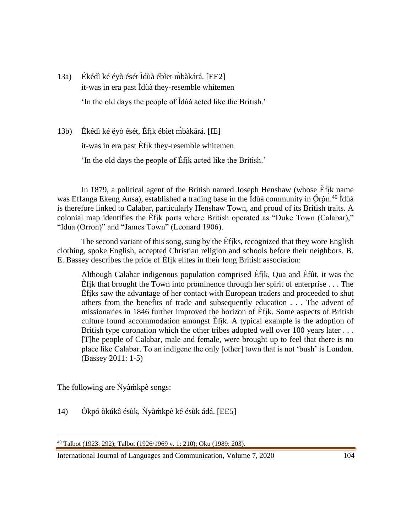13a) Ékédì ké éyò ését Ìdùà ébìet m̀bàkárá. [EE2] it-was in era past Ìdùà they-resemble whitemen 'In the old days the people of Ìdùà acted like the British.'

13b) Ékédì ké éyò ését, Èfịk ébìet m̀bàkárá. [IE]

it-was in era past Èfịk they-resemble whitemen

'In the old days the people of Èfịk acted like the British.'

In 1879, a political agent of the British named Joseph Henshaw (whose Èfịk name was Effanga Ekeng Ansa), established a trading base in the Ìdùà community in Órọ́n.<sup>40</sup> Ìdùà is therefore linked to Calabar, particularly Henshaw Town, and proud of its British traits. A colonial map identifies the Èfịk ports where British operated as "Duke Town (Calabar)," "Idua (Orron)" and "James Town" (Leonard 1906).

The second variant of this song, sung by the Èfịks, recognized that they wore English clothing, spoke English, accepted Christian religion and schools before their neighbors. B. E. Bassey describes the pride of Èfịk elites in their long British association:

Although Calabar indigenous population comprised Èfịk, Qua and Èfût, it was the Èfịk that brought the Town into prominence through her spirit of enterprise . . . The Èfịks saw the advantage of her contact with European traders and proceeded to shut others from the benefits of trade and subsequently education . . . The advent of missionaries in 1846 further improved the horizon of Èfịk. Some aspects of British culture found accommodation amongst Èfịk. A typical example is the adoption of British type coronation which the other tribes adopted well over 100 years later . . . [T]he people of Calabar, male and female, were brought up to feel that there is no place like Calabar. To an indigene the only [other] town that is not 'bush' is London. (Bassey 2011: 1-5)

The following are Nyamì kpè songs:

14) Òkpó òkúkâ ésùk, Nyàmìkpè ké ésùk ádá. [EE5]

<sup>40</sup> Talbot (1923: 292); Talbot (1926/1969 v. 1: 210); Oku (1989: 203).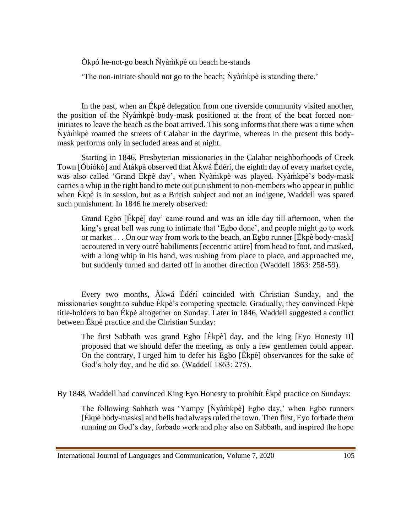Òkpó he-not-go beach Ǹyàm̀kpè on beach he-stands

'The non-initiate should not go to the beach; Ǹyàm̀kpè is standing there.'

In the past, when an Ékpè delegation from one riverside community visited another, the position of the Nyamck body-mask positioned at the front of the boat forced noninitiates to leave the beach as the boat arrived. This song informs that there was a time when Ǹyàm̀kpè roamed the streets of Calabar in the daytime, whereas in the present this bodymask performs only in secluded areas and at night.

Starting in 1846, Presbyterian missionaries in the Calabar neighborhoods of Creek Town [Óbiókò] and Àtákpà observed that Àkwá Édérí, the eighth day of every market cycle, was also called 'Grand Ékpè day', when Nyàmìkpè was played. Nyàmìkpè's body-mask carries a whip in the right hand to mete out punishment to non-members who appear in public when Ékpè is in session, but as a British subject and not an indigene, Waddell was spared such punishment. In 1846 he merely observed:

Grand Egbo [Ékpè] day' came round and was an idle day till afternoon, when the king's great bell was rung to intimate that 'Egbo done', and people might go to work or market . . . On our way from work to the beach, an Egbo runner [Ékpè body-mask] accoutered in very outré habiliments [eccentric attire] from head to foot, and masked, with a long whip in his hand, was rushing from place to place, and approached me, but suddenly turned and darted off in another direction (Waddell 1863: 258-59).

Every two months, Àkwá Édérí coincided with Christian Sunday, and the missionaries sought to subdue Ékpè's competing spectacle. Gradually, they convinced Ékpè title-holders to ban Ékpè altogether on Sunday. Later in 1846, Waddell suggested a conflict between Ékpè practice and the Christian Sunday:

The first Sabbath was grand Egbo [Ékpè] day, and the king [Eyo Honesty II] proposed that we should defer the meeting, as only a few gentlemen could appear. On the contrary, I urged him to defer his Egbo [Ékpè] observances for the sake of God's holy day, and he did so. (Waddell 1863: 275).

By 1848, Waddell had convinced King Eyo Honesty to prohibit Ékpè practice on Sundays:

The following Sabbath was 'Yampy [Nyàm̀kpè] Egbo day,' when Egbo runners [Ékpè body-masks] and bells had always ruled the town. Then first, Eyo forbade them running on God's day, forbade work and play also on Sabbath, and inspired the hope

International Journal of Languages and Communication, Volume 7, 2020 105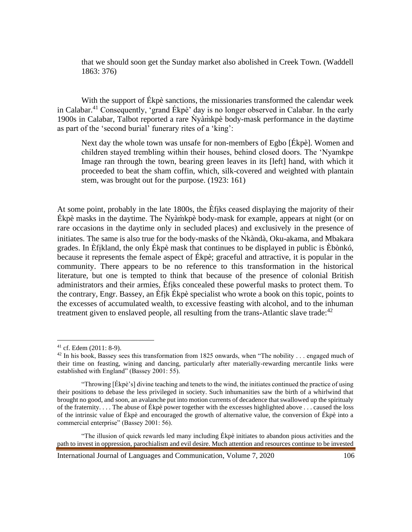that we should soon get the Sunday market also abolished in Creek Town. (Waddell 1863: 376)

With the support of Ékpè sanctions, the missionaries transformed the calendar week in Calabar.<sup>41</sup> Consequently, 'grand Ékpè' day is no longer observed in Calabar. In the early 1900s in Calabar, Talbot reported a rare Ǹyàm̀kpè body-mask performance in the daytime as part of the 'second burial' funerary rites of a 'king':

Next day the whole town was unsafe for non-members of Egbo [Ékpè]. Women and children stayed trembling within their houses, behind closed doors. The 'Nyamkpe Image ran through the town, bearing green leaves in its [left] hand, with which it proceeded to beat the sham coffin, which, silk-covered and weighted with plantain stem, was brought out for the purpose. (1923: 161)

At some point, probably in the late 1800s, the Èfịks ceased displaying the majority of their Ékpè masks in the daytime. The Ǹyàm̀kpè body-mask for example, appears at night (or on rare occasions in the daytime only in secluded places) and exclusively in the presence of initiates. The same is also true for the body-masks of the Nkàndà, Oku-akama, and Mbakara grades. In Èfịkland, the only Ékpè mask that continues to be displayed in public is Èbònkó, because it represents the female aspect of Ékpè; graceful and attractive, it is popular in the community. There appears to be no reference to this transformation in the historical literature, but one is tempted to think that because of the presence of colonial British administrators and their armies, Èfịks concealed these powerful masks to protect them. To the contrary, Engr. Bassey, an Èfịk Ékpè specialist who wrote a book on this topic, points to the excesses of accumulated wealth, to excessive feasting with alcohol, and to the inhuman treatment given to enslaved people, all resulting from the trans-Atlantic slave trade:<sup>42</sup>

<sup>41</sup> cf. Edem (2011: 8-9).

<sup>&</sup>lt;sup>42</sup> In his book, Bassey sees this transformation from 1825 onwards, when "The nobility . . . engaged much of their time on feasting, wining and dancing, particularly after materially-rewarding mercantile links were established with England" (Bassey 2001: 55).

<sup>&</sup>quot;Throwing [Ékpè's] divine teaching and tenets to the wind, the initiates continued the practice of using their positions to debase the less privileged in society. Such inhumanities saw the birth of a whirlwind that brought no good, and soon, an avalanche put into motion currents of decadence that swallowed up the spiritualy of the fraternity. . . . The abuse of Ékpè power together with the excesses highlighted above . . . caused the loss of the intrinsic value of Ékpè and encouraged the growth of alternative value, the conversion of Ékpè into a commercial enterprise" (Bassey 2001: 56).

<sup>&</sup>quot;The illusion of quick rewards led many including Ékpè initiates to abandon pious activities and the path to invest in oppression, parochialism and evil desire. Much attention and resources continue to be invested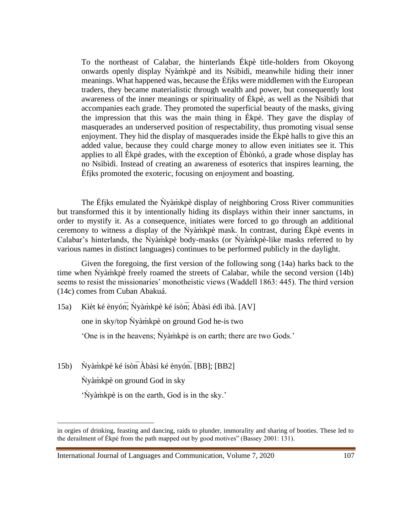To the northeast of Calabar, the hinterlands Ékpè title-holders from Okoyong onwards openly display  $\dot{N}$ yàm̀kpè and its Nsìbìdì, meanwhile hiding their inner meanings. What happened was, because the Èfịks were middlemen with the European traders, they became materialistic through wealth and power, but consequently lost awareness of the inner meanings or spirituality of Ékpè, as well as the Nsìbìdì that accompanies each grade. They promoted the superficial beauty of the masks, giving the impression that this was the main thing in Ékpè. They gave the display of masquerades an underserved position of respectability, thus promoting visual sense enjoyment. They hid the display of masquerades inside the Ékpè halls to give this an added value, because they could charge money to allow even initiates see it. This applies to all Ékpè grades, with the exception of Èbònkó, a grade whose display has no Nsìbìdì. Instead of creating an awareness of esoterics that inspires learning, the Èfịks promoted the exoteric, focusing on enjoyment and boasting.

The Efiks emulated the Nyamck display of neighboring Cross River communities but transformed this it by intentionally hiding its displays within their inner sanctums, in order to mystify it. As a consequence, initiates were forced to go through an additional ceremony to witness a display of the Nyamikpe mask. In contrast, during Ékpè events in Calabar's hinterlands, the  $\dot{N}$ yàm̀kpè body-masks (or  $\dot{N}$ yàm̀kpè-like masks referred to by various names in distinct languages) continues to be performed publicly in the daylight.

Given the foregoing, the first version of the following song (14a) harks back to the time when  $\dot{N}$ yàm̀kpè freely roamed the streets of Calabar, while the second version (14b) seems to resist the missionaries' monotheistic views (Waddell 1863: 445). The third version (14c) comes from Cuban Abakuá.

15a) Kìèt ké ènyón; Nyàmìkpè ké ísòn; Àbàsì édì ìbà. [AV]

one in sky/top Ǹyàm̀kpè on ground God he-is two

'One is in the heavens; Nyamikpe is on earth; there are two Gods.'

15b) Nyàmìkpè ké ísòn $\overline{A}$ bàsì ké ènyón. [BB]; [BB2]

Ǹyàm̀kpè on ground God in sky

'Ǹyàm̀kpè is on the earth, God is in the sky.'

in orgies of drinking, feasting and dancing, raids to plunder, immorality and sharing of booties. These led to the derailment of Ékpè from the path mapped out by good motives" (Bassey 2001: 131).

International Journal of Languages and Communication, Volume 7, 2020 107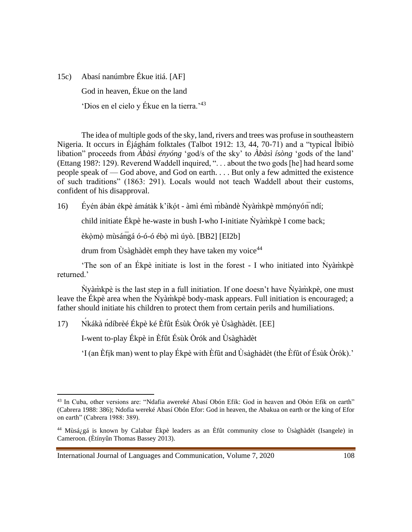15c) Abasí nanúmbre Ékue itiá. [AF] God in heaven, Ékue on the land 'Dios en el cielo y Ékue en la tierra.'<sup>43</sup>

The idea of multiple gods of the sky, land, rivers and trees was profuse in southeastern Nigeria. It occurs in Éjághám folktales (Talbot 1912: 13, 44, 70-71) and a "typical Ìbìbìò libation" proceeds from *Àbàsì ényóng* 'god/s of the sky' to *Àbàsì ísòng* 'gods of the land' (Ettang 198?: 129). Reverend Waddell inquired, ". . . about the two gods [he] had heard some people speak of — God above, and God on earth. . . . But only a few admitted the existence of such traditions" (1863: 291). Locals would not teach Waddell about their customs, confident of his disapproval.

16) Éyén ábàn ékpè ámátàk k'íkót - àmì émì mbàndè Nyàmìkpè mmónyón ndí;

child initiate Ékpè he-waste in bush I-who I-initiate Ǹyàm̀kpè I come back;

èkọ̀mọ̀ mùsángá ó-ó-ó ébọ̀ mì úyò. [BB2] [EI2b]

drum from  $\dot{U}$ sàghàdèt emph they have taken my voice<sup>44</sup>

'The son of an Ékpè initiate is lost in the forest - I who initiated into Nyàm̀kpè returned.'

Ǹyàm̀kpè is the last step in a full initiation. If one doesn't have Ǹyàm̀kpè, one must leave the Ékpè area when the Nyàmì kpè body-mask appears. Full initiation is encouraged; a father should initiate his children to protect them from certain perils and humiliations.

17) Ńkákà ńdíbrèé Ékpè ké Èfût Ésùk Òrók yè Ùsàghàdèt. [EE]

I-went to-play Ékpè in Èfût Ésùk Òrók and Ùsàghàdèt

'I (an Èfịk man) went to play Ékpè with Èfût and Ùsàghàdèt (the Èfût of Ésùk Òrók).'

<sup>43</sup> In Cuba, other versions are: "Ndafia awereké Abasí Obón Efik: God in heaven and Obón Efik on earth" (Cabrera 1988: 386); Ndofia wereké Abasí Obón Efor: God in heaven, the Abakua on earth or the king of Efor on earth" (Cabrera 1988: 389).

<sup>44</sup> Mùsá¿gá is known by Calabar Ékpè leaders as an Èfût community close to Ùsàghàdèt (Isangele) in Cameroon. (Ètínyûn Thomas Bassey 2013).

International Journal of Languages and Communication, Volume 7, 2020 108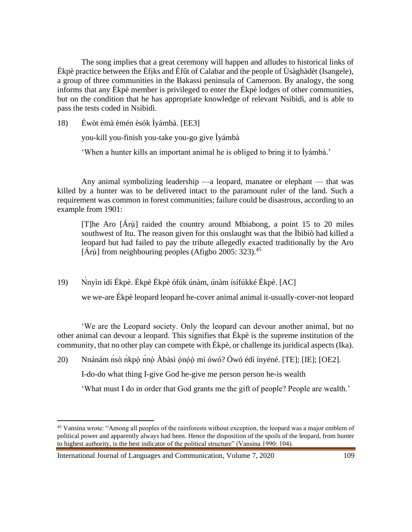The song implies that a great ceremony will happen and alludes to historical links of Ékpè practice between the Èfịks and Èfût of Calabar and the people of Ùsàghàdèt (Isangele), a group of three communities in the Bakassi peninsula of Cameroon. By analogy, the song informs that any Ékpè member is privileged to enter the Ékpè lodges of other communities, but on the condition that he has appropriate knowledge of relevant Nsìbìdì, and is able to pass the tests coded in Nsìbìdì.

18) Èwòt èmà èmén èsók Ìyámbà. [EE3]

you-kill you-finish you-take you-go give Ìyámbà

'When a hunter kills an important animal he is obliged to bring it to Ìyámbà.'

Any animal symbolizing leadership —a leopard, manatee or elephant — that was killed by a hunter was to be delivered intact to the paramount ruler of the land. Such a requirement was common in forest communities; failure could be disastrous, according to an example from 1901:

[T]he Aro [Árụ̀] raided the country around Mbiabong, a point 15 to 20 miles southwest of Itu. The reason given for this onslaught was that the Ìbìbìò had killed a leopard but had failed to pay the tribute allegedly exacted traditionally by the Aro  $[\text{Árù}]$  from neighbouring peoples (Afigbo 2005: 323).<sup>45</sup>

19) Ǹnyìn ìdí Ékpè. Ékpè Ékpè ófúk únàm, únàm ísífúkké Ékpè. [AC]

we we-are Ékpè leopard leopard he-cover animal animal it-usually-cover-not leopard

'We are the Leopard society. Only the leopard can devour another animal, but no other animal can devour a leopard. This signifies that Ékpè is the supreme institution of the community, that no other play can compete with Ékpè, or challenge its juridical aspects (Ika).

20) Nnánám nsò nkpò nnò Àbàsì ónóò mì ówó? Ówó édí ínyéné. [TE]; [IE]; [OE2].

I-do-do what thing I-give God he-give me person person he-is wealth

'What must I do in order that God grants me the gift of people? People are wealth.'

International Journal of Languages and Communication, Volume 7, 2020 109

<sup>&</sup>lt;sup>45</sup> Vansina wrote: "Among all peoples of the rainforests without exception, the leopard was a major emblem of political power and apparently always had been. Hence the disposition of the spoils of the leopard, from hunter to highest authority, is the best indicator of the political structure" (Vansina 1990: 104).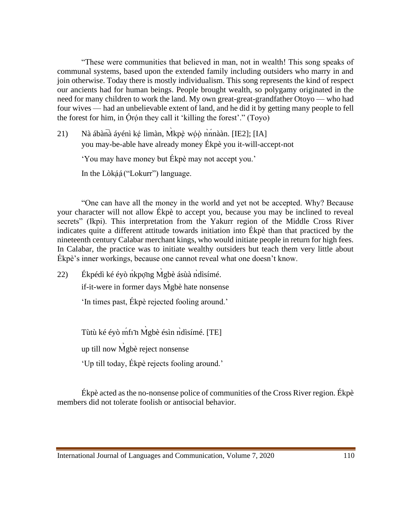"These were communities that believed in man, not in wealth! This song speaks of communal systems, based upon the extended family including outsiders who marry in and join otherwise. Today there is mostly individualism. This song represents the kind of respect our ancients had for human beings. People brought wealth, so polygamy originated in the need for many children to work the land. My own great-great-grandfather Otoyo — who had four wives — had an unbelievable extent of land, and he did it by getting many people to fell the forest for him, in Ọ́rọ́n they call it 'killing the forest'." (Toyo)

21) Nà ábàn $\overline{a}$  áyénì ké lìmàn, Mkpè wóò nnhàan. [IE2]; [IA] you may-be-able have already money Ékpè you it-will-accept-not

'You may have money but Ékpè may not accept you.'

In the Lòkạ́ạ́("Lokurr") language.

"One can have all the money in the world and yet not be accepted. Why? Because your character will not allow Ékpè to accept you, because you may be inclined to reveal secrets" (Ikpi). This interpretation from the Yakurr region of the Middle Cross River indicates quite a different attitude towards initiation into Ékpè than that practiced by the nineteenth century Calabar merchant kings, who would initiate people in return for high fees. In Calabar, the practice was to initiate wealthy outsiders but teach them very little about Ékpè's inner workings, because one cannot reveal what one doesn't know.

22) Ékpédì ké éyò nkpọng Mgbè ásùà ndìsímé.

if-it-were in former days M̀gbè hate nonsense

'In times past, Ékpè rejected fooling around.'

Tùtù ké éyò mf1n Mgbè ésìn ndìsímé. [TE]

up till now M̀gbè reject nonsense

'Up till today, Ékpè rejects fooling around.'

Ékpè acted as the no-nonsense police of communities of the Cross River region. Ékpè members did not tolerate foolish or antisocial behavior.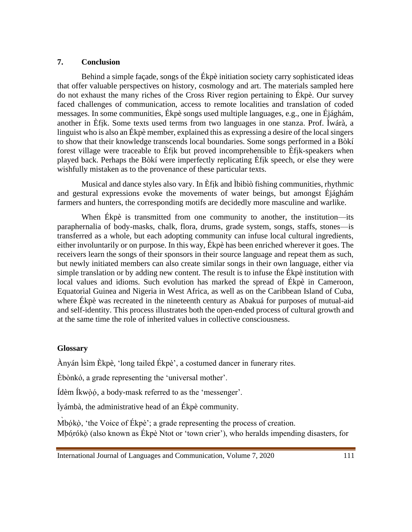#### **7. Conclusion**

Behind a simple façade, songs of the Ékpè initiation society carry sophisticated ideas that offer valuable perspectives on history, cosmology and art. The materials sampled here do not exhaust the many riches of the Cross River region pertaining to Ékpè. Our survey faced challenges of communication, access to remote localities and translation of coded messages. In some communities, Ékpè songs used multiple languages, e.g., one in Éjághám, another in Èfịk. Some texts used terms from two languages in one stanza. Prof. Ìwárà, a linguist who is also an Ékpè member, explained this as expressing a desire of the local singers to show that their knowledge transcends local boundaries. Some songs performed in a Bòkí forest village were traceable to Èfịk but proved incomprehensible to Èfịk-speakers when played back. Perhaps the Bòkí were imperfectly replicating Èfịk speech, or else they were wishfully mistaken as to the provenance of these particular texts.

Musical and dance styles also vary. In Èfịk and Ìbìbìò fishing communities, rhythmic and gestural expressions evoke the movements of water beings, but amongst Éjághám farmers and hunters, the corresponding motifs are decidedly more masculine and warlike.

When Ékpè is transmitted from one community to another, the institution—its paraphernalia of body-masks, chalk, flora, drums, grade system, songs, staffs, stones—is transferred as a whole, but each adopting community can infuse local cultural ingredients, either involuntarily or on purpose. In this way, Ékpè has been enriched wherever it goes. The receivers learn the songs of their sponsors in their source language and repeat them as such, but newly initiated members can also create similar songs in their own language, either via simple translation or by adding new content. The result is to infuse the Ékpè institution with local values and idioms. Such evolution has marked the spread of Ékpè in Cameroon, Equatorial Guinea and Nigeria in West Africa, as well as on the Caribbean Island of Cuba, where Ékpè was recreated in the nineteenth century as Abakuá for purposes of mutual-aid and self-identity. This process illustrates both the open-ended process of cultural growth and at the same time the role of inherited values in collective consciousness.

#### **Glossary**

Ànyán Ìsìm Èkpè, 'long tailed Ékpè', a costumed dancer in funerary rites.

Èbònkó, a grade representing the 'universal mother'.

Ídèm Íkwòó, a body-mask referred to as the 'messenger'.

Ìyámbà, the administrative head of an Ékpè community.

Mbókò, 'the Voice of Ékpè'; a grade representing the process of creation. Mbórókò (also known as Ékpè Ntot or 'town crier'), who heralds impending disasters, for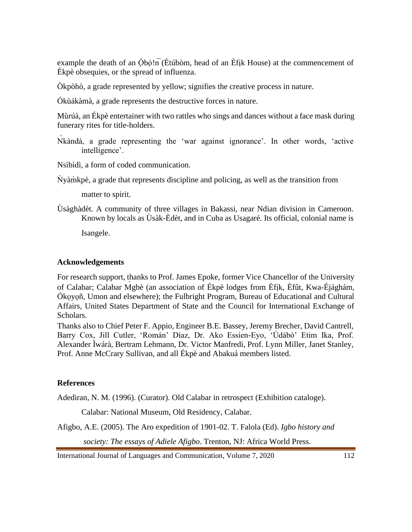example the death of an  $\overline{\text{Ob}}\text{o}$ ! $\overline{\text{n}}$  (Etúbòm, head of an Efik House) at the commencement of Ékpè obsequies, or the spread of influenza.

Òkpòhò, a grade represented by yellow; signifies the creative process in nature.

Ókùákàmà, a grade represents the destructive forces in nature.

Mùrúà, an Ékpè entertainer with two rattles who sings and dances without a face mask during funerary rites for title-holders.

- Nkàndà, a grade representing the 'war against ignorance'. In other words, 'active intelligence'.
- Nsìbìdì, a form of coded communication.

Ǹyàm̀kpè, a grade that represents discipline and policing, as well as the transition from

matter to spirit.

Ùsàghàdèt. A community of three villages in Bakassi, near Ndian division in Cameroon. Known by locals as Ùsàk-Èdèt, and in Cuba as Usagaré. Its official, colonial name is

Isangele.

#### **Acknowledgements**

For research support, thanks to Prof. James Epoke, former Vice Chancellor of the University of Calabar; Calabar Mgbè (an association of Ékpè lodges from Èfik, Èfût, Kwa-Éjághám, Ókọyọñ, Umon and elsewhere); the Fulbright Program, Bureau of Educational and Cultural Affairs, United States Department of State and the Council for International Exchange of Scholars.

Thanks also to Chief Peter F. Appio, Engineer B.E. Bassey, Jeremy Brecher, David Cantrell, Barry Cox, Jill Cutler, 'Román' Díaz, Dr. Ako Essien-Eyo, 'Údábò' Etim Ika, Prof. Alexander Ìwárà, Bertram Lehmann, Dr. Victor Manfredi, Prof. Lynn Miller, Janet Stanley, Prof. Anne McCrary Sullivan, and all Ékpè and Abakuá members listed.

#### **References**

Adediran, N. M. (1996). (Curator). Old Calabar in retrospect (Exhibition cataloge).

Calabar: National Museum, Old Residency, Calabar.

Afigbo, A.E. (2005). The Aro expedition of 1901-02. T. Falola (Ed). *Igbo history and*

*society: The essays of Adiele Afigbo*. Trenton, NJ: Africa World Press.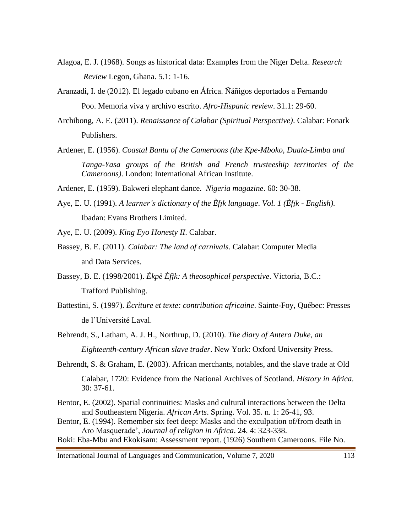- Alagoa, E. J. (1968). Songs as historical data: Examples from the Niger Delta. *Research Review* Legon, Ghana. 5.1: 1-16.
- Aranzadi, I. de (2012). El legado cubano en África. Ñáñigos deportados a Fernando Poo. Memoria viva y archivo escrito. *Afro-Hispanic review*. 31.1: 29-60.
- Archibong, A. E. (2011). *Renaissance of Calabar (Spiritual Perspective)*. Calabar: Fonark Publishers.
- Ardener, E. (1956). *Coastal Bantu of the Cameroons (the Kpe-Mboko, Duala-Limba and Tanga-Yasa groups of the British and French trusteeship territories of the Cameroons)*. London: International African Institute.
- Ardener, E. (1959). Bakweri elephant dance. *Nigeria magazine*. 60: 30-38.
- Aye, E. U. (1991). *A learner's dictionary of the Èfịk language*. *Vol. 1 (Èfịk - English).* Ibadan: Evans Brothers Limited.
- Aye, E. U. (2009). *King Eyo Honesty II*. Calabar.
- Bassey, B. E. (2011). *Calabar: The land of carnivals*. Calabar: Computer Media and Data Services.
- Bassey, B. E. (1998/2001). *Ékpè Èfịk: A theosophical perspective*. Victoria, B.C.: Trafford Publishing.
- Battestini, S. (1997). *Écriture et texte: contribution africaine*. Sainte-Foy, Québec: Presses de l'Université Laval.
- Behrendt, S., Latham, A. J. H., Northrup, D. (2010). *The diary of Antera Duke, an Eighteenth-century African slave trader*. New York: Oxford University Press.
- Behrendt, S. & Graham, E. (2003). African merchants, notables, and the slave trade at Old Calabar, 1720: Evidence from the National Archives of Scotland. *History in Africa*. 30: 37-61.
- Bentor, E. (2002). Spatial continuities: Masks and cultural interactions between the Delta and Southeastern Nigeria. *African Arts*. Spring. Vol. 35. n. 1: 26-41, 93.
- Bentor, E. (1994). Remember six feet deep: Masks and the exculpation of/from death in Aro Masquerade', *Journal of religion in Africa*. 24. 4: 323-338.
- Boki: Eba-Mbu and Ekokisam: Assessment report. (1926) Southern Cameroons. File No.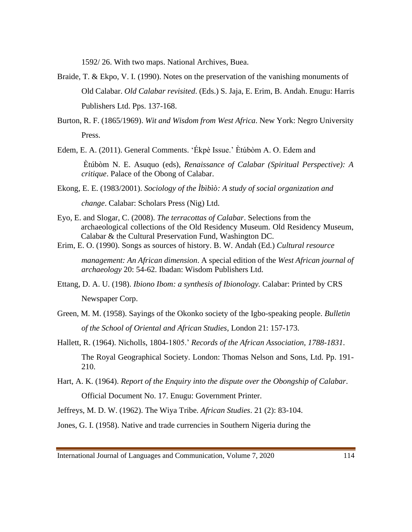1592/ 26. With two maps. National Archives, Buea.

- Braide, T. & Ekpo, V. I. (1990). Notes on the preservation of the vanishing monuments of Old Calabar. *Old Calabar revisited*. (Eds.) S. Jaja, E. Erim, B. Andah. Enugu: Harris Publishers Ltd. Pps. 137-168.
- Burton, R. F. (1865/1969). *Wit and Wisdom from West Africa*. New York: Negro University Press.
- Edem, E. A. (2011). General Comments. 'Ékpè Issue.' Ètúbòm A. O. Edem and

Ètúbòm N. E. Asuquo (eds), *Renaissance of Calabar (Spiritual Perspective): A critique*. Palace of the Obong of Calabar.

- Ekong, E. E. (1983/2001). *Sociology of the Ìbìbìò: A study of social organization and change*. Calabar: Scholars Press (Nig) Ltd.
- Eyo, E. and Slogar, C. (2008). *The terracottas of Calabar*. Selections from the archaeological collections of the Old Residency Museum. Old Residency Museum, Calabar & the Cultural Preservation Fund, Washington DC.
- Erim, E. O. (1990). Songs as sources of history. B. W. Andah (Ed.) *Cultural resource*

*management: An African dimension*. A special edition of the *West African journal of archaeology* 20: 54-62. Ibadan: Wisdom Publishers Ltd.

- Ettang, D. A. U. (198). *Ibiono Ibom: a synthesis of Ibionology.* Calabar: Printed by CRS Newspaper Corp.
- Green, M. M. (1958). Sayings of the Okonko society of the Igbo-speaking people. *Bulletin of the School of Oriental and African Studies*, London 21: 157-173.
- Hallett, R. (1964). Nicholls, 1804-1805.' *Records of the African Association, 1788-1831*. The Royal Geographical Society. London: Thomas Nelson and Sons, Ltd. Pp. 191- 210.
- Hart, A. K. (1964). *Report of the Enquiry into the dispute over the Obongship of Calabar*. Official Document No. 17. Enugu: Government Printer.

Jeffreys, M. D. W. (1962). The Wiya Tribe. *African Studies*. 21 (2): 83-104.

Jones, G. I. (1958). Native and trade currencies in Southern Nigeria during the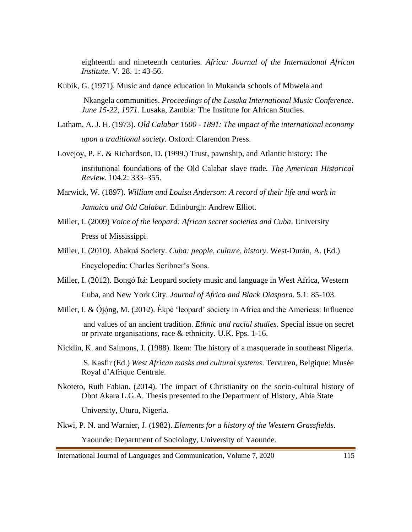eighteenth and nineteenth centuries. *Africa: Journal of the International African Institute*. V. 28. 1: 43-56.

Kubik, G. (1971). Music and dance education in Mukanda schools of Mbwela and

Nkangela communities. *Proceedings of the Lusaka International Music Conference. June 15-22, 1971*. Lusaka, Zambia: The Institute for African Studies.

- Latham, A. J. H. (1973). *Old Calabar 1600 - 1891: The impact of the international economy upon a traditional society.* Oxford: Clarendon Press.
- Lovejoy, P. E. & Richardson, D. (1999.) Trust, pawnship, and Atlantic history: The

institutional foundations of the Old Calabar slave trade*. The American Historical Review*. 104.2: 333–355.

- Marwick, W. (1897). *William and Louisa Anderson: A record of their life and work in Jamaica and Old Calabar*. Edinburgh: Andrew Elliot.
- Miller, I. (2009) *Voice of the leopard: African secret societies and Cuba*. University Press of Mississippi.
- Miller, I. (2010). Abakuá Society. *Cuba: people, culture, history*. West-Durán, A. (Ed.) Encyclopedia: Charles Scribner's Sons.
- Miller, I. (2012). Bongó Itá: Leopard society music and language in West Africa, Western Cuba, and New York City. *Journal of Africa and Black Diaspora*. 5.1: 85-103.
- Miller, I. & Ojóng, M. (2012). Ekpè 'leopard' society in Africa and the Americas: Influence and values of an ancient tradition. *Ethnic and racial studies*. Special issue on secret or private organisations, race & ethnicity. U.K. Pps. 1-16.
- Nicklin, K. and Salmons, J. (1988). Ikem: The history of a masquerade in southeast Nigeria.

S. Kasfir (Ed.) *West African masks and cultural systems*. Tervuren, Belgique: Musée Royal d'Afrique Centrale.

Nkoteto, Ruth Fabian. (2014). The impact of Christianity on the socio-cultural history of Obot Akara L.G.A. Thesis presented to the Department of History, Abia State

University, Uturu, Nigeria.

Nkwi, P. N. and Warnier, J. (1982). *Elements for a history of the Western Grassfields*. Yaounde: Department of Sociology, University of Yaounde.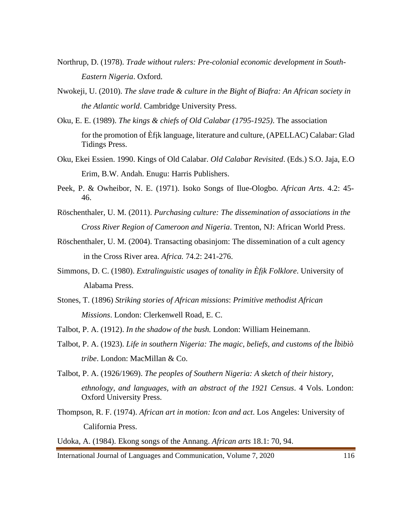- Northrup, D. (1978). *Trade without rulers: Pre-colonial economic development in South-Eastern Nigeria*. Oxford.
- Nwokeji, U. (2010). *The slave trade & culture in the Bight of Biafra: An African society in the Atlantic world*. Cambridge University Press.
- Oku, E. E. (1989). *The kings & chiefs of Old Calabar (1795-1925)*. The association for the promotion of Èfịk language, literature and culture, (APELLAC) Calabar: Glad Tidings Press.
- Oku, Ekei Essien. 1990. Kings of Old Calabar. *Old Calabar Revisited*. (Eds.) S.O. Jaja, E.O Erim, B.W. Andah. Enugu: Harris Publishers.
- Peek, P. & Owheibor, N. E. (1971). Isoko Songs of Ilue-Ologbo. *African Arts*. 4.2: 45- 46.
- Röschenthaler, U. M. (2011). *Purchasing culture: The dissemination of associations in the Cross River Region of Cameroon and Nigeria*. Trenton, NJ: African World Press.
- Röschenthaler, U. M. (2004). Transacting obasinjom: The dissemination of a cult agency in the Cross River area. *Africa.* 74.2: 241-276.
- Simmons, D. C. (1980). *Extralinguistic usages of tonality in Èfịk Folklore*. University of Alabama Press.
- Stones, T. (1896) *Striking stories of African missions*: *Primitive methodist African Missions*. London: Clerkenwell Road, E. C.
- Talbot, P. A. (1912). *In the shadow of the bush.* London: William Heinemann.
- Talbot, P. A. (1923). *Life in southern Nigeria: The magic, beliefs, and customs of the Ìbìbìò tribe*. London: MacMillan & Co.
- Talbot, P. A. (1926/1969). *The peoples of Southern Nigeria: A sketch of their history, ethnology, and languages, with an abstract of the 1921 Census*. 4 Vols. London: Oxford University Press.
- Thompson, R. F. (1974). *African art in motion: Icon and act*. Los Angeles: University of California Press.
- Udoka, A. (1984). Ekong songs of the Annang. *African arts* 18.1: 70, 94.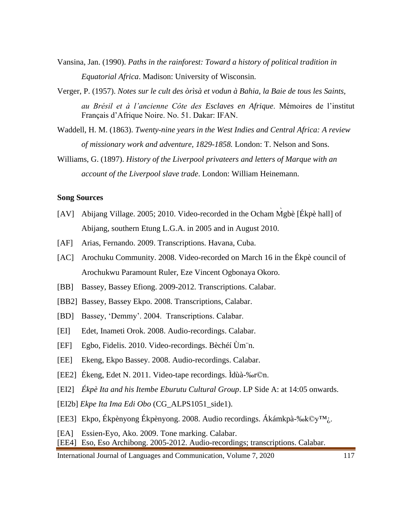- Vansina, Jan. (1990). *Paths in the rainforest: Toward a history of political tradition in Equatorial Africa*. Madison: University of Wisconsin.
- Verger, P. (1957). *Notes sur le cult des òrìsà et vodun à Bahia, la Baie de tous les Saints, au Brésil et à l'ancienne Côte des Esclaves en Afrique*. Mémoires de l'institut Français d'Afrique Noire. No. 51. Dakar: IFAN.
- Waddell, H. M. (1863). *Twenty-nine years in the West Indies and Central Africa: A review of missionary work and adventure, 1829-1858.* London: T. Nelson and Sons.
- Williams, G. (1897). *History of the Liverpool privateers and letters of Marque with an account of the Liverpool slave trade*. London: William Heinemann.

#### **Song Sources**

- [AV] Abijang Village. 2005; 2010. Video-recorded in the Ocham Mgbè [Ékpè hall] of Abijang, southern Etung L.G.A. in 2005 and in August 2010.
- [AF] Arias, Fernando. 2009. Transcriptions. Havana, Cuba.
- [AC] Arochuku Community. 2008. Video-recorded on March 16 in the Ékpè council of Arochukwu Paramount Ruler, Eze Vincent Ogbonaya Okoro.
- [BB] Bassey, Bassey Efiong. 2009-2012. Transcriptions. Calabar.
- [BB2] Bassey, Bassey Ekpo. 2008. Transcriptions, Calabar.
- [BD] Bassey, 'Demmy'. 2004. Transcriptions. Calabar.
- [EI] Edet, Inameti Orok. 2008. Audio-recordings. Calabar.
- [EF] Egbo, Fidelis. 2010. Video-recordings. Bèchéí Ùm¨n.
- [EE] Ekeng, Ekpo Bassey. 2008. Audio-recordings. Calabar.
- [EE2] Ékeng, Edet N. 2011. Video-tape recordings. Ìdùà-‰r©n.
- [EI2] *Ékpè Ita and his Itembe Eburutu Cultural Group*. LP Side A: at 14:05 onwards.
- [EI2b] *Ekpe Ita Ima Edi Obo* (CG\_ALPS1051\_side1).
- [EE3] Ekpo, Ékpènyong Ékpènyong. 2008. Audio recordings. Ákámkpà-‰k©y™¿.
- [EA] Essien-Eyo, Ako. 2009. Tone marking. Calabar.

[EE4] Eso, Eso Archibong. 2005-2012. Audio-recordings; transcriptions. Calabar.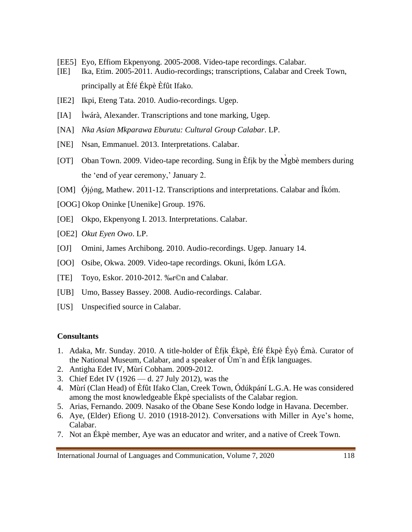- [EE5] Eyo, Effiom Ekpenyong. 2005-2008. Video-tape recordings. Calabar.
- [IE] Ika, Etim. 2005-2011. Audio-recordings; transcriptions, Calabar and Creek Town, principally at Èfé Ékpè Èfût Ifako.
- [IE2] Ikpi, Eteng Tata. 2010. Audio-recordings. Ugep.
- [IA] Ìwárà, Alexander. Transcriptions and tone marking, Ugep.
- [NA] *Nka Asian Mkparawa Eburutu: Cultural Group Calabar*. LP.
- [NE] Nsan, Emmanuel. 2013. Interpretations. Calabar.
- [OT] Oban Town. 2009. Video-tape recording. Sung in Èfik by the Mgbè members during the 'end of year ceremony,' January 2.
- [OM] Ójóng, Mathew. 2011-12. Transcriptions and interpretations. Calabar and Íkóm.
- [OOG] Okop Oninke [Unenike] Group. 1976.
- [OE] Okpo, Ekpenyong I. 2013. Interpretations. Calabar.
- [OE2] *Okut Eyen Owo*. LP.
- [OJ] Omini, James Archibong. 2010. Audio-recordings. Ugep. January 14.
- [OO] Osibe, Okwa. 2009. Video-tape recordings. Okuni, Íkóm LGA.
- [TE] Toyo, Eskor. 2010-2012. ‰r©n and Calabar.
- [UB] Umo, Bassey Bassey. 2008. Audio-recordings. Calabar.
- [US] Unspecified source in Calabar.

#### **Consultants**

- 1. Adaka, Mr. Sunday. 2010. A title-holder of Èfịk Ékpè, Èfé Ékpè Éyò ̣Émà. Curator of the National Museum, Calabar, and a speaker of Ùm¨n and Èfịk languages.
- 2. Antigha Edet IV, Mùrí Cobham. 2009-2012.
- 3. Chief Edet IV (1926 d. 27 July 2012), was the
- 4. Mùrí (Clan Head) of Èfût Ifako Clan, Creek Town, Ódúkpání L.G.A. He was considered among the most knowledgeable Ékpè specialists of the Calabar region.
- 5. Arias, Fernando. 2009. Nasako of the Obane Sese Kondo lodge in Havana. December.
- 6. Aye, (Elder) Efiong U. 2010 (1918-2012). Conversations with Miller in Aye's home, Calabar.
- 7. Not an Ékpè member, Aye was an educator and writer, and a native of Creek Town.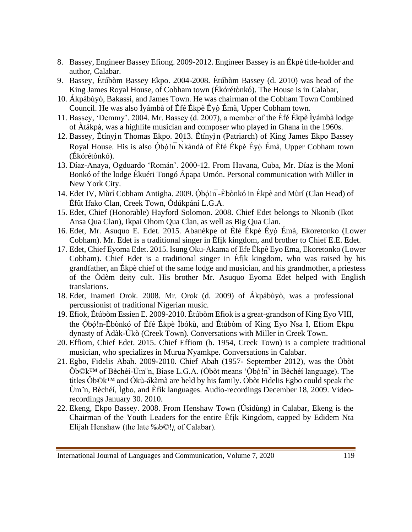- 8. Bassey, Engineer Bassey Efiong. 2009-2012. Engineer Bassey is an Ékpè title-holder and author, Calabar.
- 9. Bassey, Ètúbòm Bassey Ekpo. 2004-2008. Ètúbòm Bassey (d. 2010) was head of the King James Royal House, of Cobham town (Ékórétònkó). The House is in Calabar,
- 10. Ákpábùyò, Bakassi, and James Town. He was chairman of the Cobham Town Combined Council. He was also Ìyámbà of Èfé Ékpè Éyọ̀Émà, Upper Cobham town.
- 11. Bassey, 'Demmy'. 2004. Mr. Bassey (d. 2007), a member of the Èfé Ékpè Ìyámbà lodge of Àtákpà, was a highlife musician and composer who played in Ghana in the 1960s.
- 12. Bassey, Ètínyị̀n Thomas Ekpo. 2013. Ètínyị̀n (Patriarch) of King James Ekpo Bassey Royal House. His is also Óbó!n Nkàndà of Èfé Ékpè Éyọ̀ Émà, Upper Cobham town (Ékórétònkó).
- 13. Díaz-Anaya, Ogduardo 'Román'. 2000-12. From Havana, Cuba, Mr. Díaz is the Moní Bonkó of the lodge Ékuéri Tongó Ápapa Umón. Personal communication with Miller in New York City.
- 14. Edet IV, Mùrí Cobham Antigha. 2009. Ọ́bọ́!n̅-Èbònkó in Ékpè and Mùrí (Clan Head) of Èfût Ifako Clan, Creek Town, Ódúkpání L.G.A.
- 15. Edet, Chief (Honorable) Hayford Solomon. 2008. Chief Edet belongs to Nkonib (Ikot Ansa Qua Clan), Ikpai Ohom Qua Clan, as well as Big Qua Clan.
- 16. Edet, Mr. Asuquo E. Edet. 2015. Abanékpe of Èfé Ékpè Éyọ̀ Émà, Ekoretonko (Lower Cobham). Mr. Edet is a traditional singer in Èfịk kingdom, and brother to Chief E.E. Edet.
- 17. Edet, Chief Eyoma Edet. 2015. Isung Oku-Akama of Efe Ékpè Eyo Ema, Ekoretonko (Lower Cobham). Chief Edet is a traditional singer in Èfịk kingdom, who was raised by his grandfather, an Ékpè chief of the same lodge and musician, and his grandmother, a priestess of the Òdèm deity cult. His brother Mr. Asuquo Eyoma Edet helped with English translations.
- 18. Edet, Inameti Orok. 2008. Mr. Orok (d. 2009) of Ákpábùyò, was a professional percussionist of traditional Nigerian music.
- 19. Efiok, Ètúbòm Essien E. 2009-2010. Ètúbòm Efiok is a great-grandson of King Eyo VIII, the Ọ́bọ́!n̅-Èbònkó of Èfé Ékpè Ìbókù, and Ètúbòm of King Eyo Nsa I, Efiom Ekpu dynasty of Àdàk-Úkò (Creek Town). Conversations with Miller in Creek Town.
- 20. Effiom, Chief Edet. 2015. Chief Effiom (b. 1954, Creek Town) is a complete traditional musician, who specializes in Murua Nyamkpe. Conversations in Calabar.
- 21. Egbo, Fidelis Abah. 2009-2010. Chief Abah (1957- September 2012), was the Óbòt  $Ôb@k<sup>TM</sup>$  of Bèchéí-Ùm n, Biase L.G.A. (Óbòt means 'Óbó!n $\overline{h}$ ' in Bèchéí language). The titles Ôb©k™ and Ókù-ákàmà are held by his family. Óbòt Fidelis Egbo could speak the Ùm¨n, Bèchéí, Ìgbo, and Èfìk languages. Audio-recordings December 18, 2009. Videorecordings January 30. 2010.
- 22. Ekeng, Ekpo Bassey. 2008. From Henshaw Town (Úsìdùng) in Calabar, Ekeng is the Chairman of the Youth Leaders for the entire Èfịk Kingdom, capped by Edidem Nta Elijah Henshaw (the late ‰b©!¿ of Calabar).

International Journal of Languages and Communication, Volume 7, 2020 119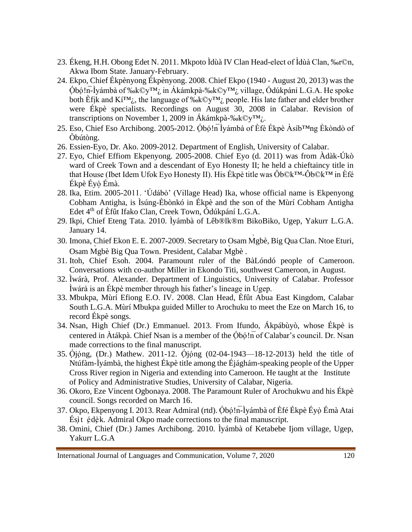- 23. Ékeng, H.H. Obong Edet N. 2011. Mkpoto Ìdùà IV Clan Head-elect of Ìdùà Clan, ‰r©n, Akwa Ibom State. January-February.
- 24. Ekpo, Chief Ékpènyong Ékpènyong. 2008. Chief Ekpo (1940 August 20, 2013) was the Ọ́bọ́!n̅-Ìyámbà of ‰k©y™¿ in Ákámkpà-‰k©y™¿ village, Ódúkpání L.G.A. He spoke both Èfik and  $Ki^{TM}$ ; the language of ‰k©y™<sub>i</sub> people. His late father and elder brother were Ékpè specialists. Recordings on August 30, 2008 in Calabar. Revision of transcriptions on November 1, 2009 in Ákámkpà-‰k©y™¿.
- 25. Eso, Chief Eso Archibong. 2005-2012. Óbó!n Ìyámbà of Èfé Ékpè Àsíb $^{TM}$ ng Èkòndò of Òbútòng.
- 26. Essien-Eyo, Dr. Ako. 2009-2012. Department of English, University of Calabar.
- 27. Eyo, Chief Effiom Ekpenyong. 2005-2008. Chief Eyo (d. 2011) was from Àdàk-Úkò ward of Creek Town and a descendant of Eyo Honesty II; he held a chieftaincy title in that House (Ibet Idem Ufok Eyo Honesty II). His Ékpè title was Ôb©k™-Ôb©k™ in Èfé Ékpè Éyò Émà.
- 28. Ika, Etim. 2005-2011. 'Údábò' (Village Head) Ika, whose official name is Ekpenyong Cobham Antigha, is Ìsúng-Èbònkó in Ékpè and the son of the Mùrí Cobham Antigha Edet 4th of Èfût Ifako Clan, Creek Town, Ódúkpání L.G.A.
- 29. Ikpi, Chief Eteng Tata. 2010. Ìyámbà of Lêb®lk®m BikoBiko, Ugep, Yakurr L.G.A. January 14.
- 30. Imona, Chief Ekon E. E. 2007-2009. Secretary to Osam M̀gbè, Big Qua Clan. Ntoe Eturi, Osam M̀gbè Big Qua Town. President, Calabar M̀gbè .
- 31. Itoh, Chief Esoh. 2004. Paramount ruler of the BàLóndó people of Cameroon. Conversations with co-author Miller in Ekondo Titi, southwest Cameroon, in August.
- 32. Ìwárà, Prof. Alexander. Department of Linguistics, University of Calabar. Professor Ìwárà is an Ékpè member through his father's lineage in Ugep.
- 33. Mbukpa, Mùrí Efiong E.O. IV. 2008. Clan Head, Èfût Abua East Kingdom, Calabar South L.G.A. Mùrí Mbukpa guided Miller to Arochuku to meet the Eze on March 16, to record Ékpè songs.
- 34. Nsan, High Chief (Dr.) Emmanuel. 2013. From Ifundo, Ákpábùyò, whose Ékpè is centered in  $\hat{A}$ tákpà. Chief Nsan is a member of the Óbó!n of Calabar's council. Dr. Nsan made corrections to the final manuscript.
- 35. Ọ́jọ́ng, (Dr.) Mathew. 2011-12. Ọ́jọ́ng (02-04-1943—18-12-2013) held the title of Ntúfàm-Ìyámbà, the highest Ékpè title among the Éjághám-speaking people of the Upper Cross River region in Nigeria and extending into Cameroon. He taught at the Institute of Policy and Administrative Studies, University of Calabar, Nigeria.
- 36. Okoro, Eze Vincent Ogbonaya. 2008. The Paramount Ruler of Arochukwu and his Ékpè council. Songs recorded on March 16.
- 37. Okpo, Ekpenyong I. 2013. Rear Admiral (rtd). Óbó!n-Ìyámbà of Èfé Ékpè Éyò Émà Atai Ésị̀t ẹ́dẹ̀k. Admiral Okpo made corrections to the final manuscript.
- 38. Omini, Chief (Dr.) James Archibong. 2010. Ìyámbà of Ketabebe Ijom village, Ugep, Yakurr L.G.A

International Journal of Languages and Communication, Volume 7, 2020 120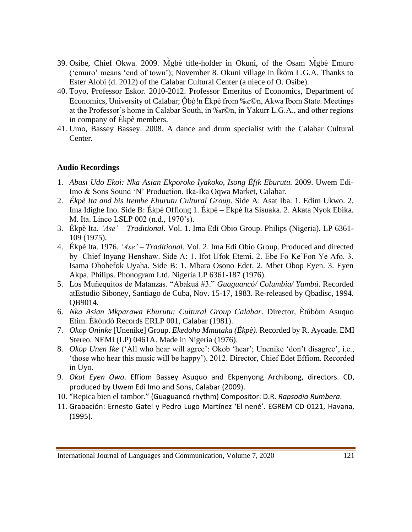- 39. Osibe, Chief Okwa. 2009. M̀gbè title-holder in Okuni, of the Osam M̀gbè Emuro ('emuro' means 'end of town'); November 8. Okuni village in Íkóm L.G.A. Thanks to Ester Alobi (d. 2012) of the Calabar Cultural Center (a niece of O. Osibe).
- 40. Toyo, Professor Eskor. 2010-2012. Professor Emeritus of Economics, Department of Economics, University of Calabar; Óbó!n Ékpè from ‰r©n, Akwa Ibom State. Meetings at the Professor's home in Calabar South, in ‰r©n, in Yakurr L.G.A., and other regions in company of Ékpè members.
- 41. Umo, Bassey Bassey. 2008. A dance and drum specialist with the Calabar Cultural Center.

### **Audio Recordings**

- 1. *Abasi Udo Ekoi: Nka Asian Ekporoko Iyakoko, Isong Èfịk Eburutu.* 2009. Uwem Edi-Imo & Sons Sound 'N' Production. Ika-Ika Oqwa Market, Calabar.
- 2. *Ékpè Ita and his Itembe Eburutu Cultural Group*. Side A: Asat Iba. 1. Edim Ukwo. 2. Ima Idighe Ino. Side B: Ékpè Offiong 1. Ékpè – Ékpè Ita Sisuaka. 2. Akata Nyok Ebika. M. Ita. Linco LSLP 002 (n.d., 1970's).
- 3. Ékpè Ita. *'Ase' – Traditional*. Vol. 1. Ima Edi Obio Group. Philips (Nigeria). LP 6361- 109 (1975).
- 4. Ékpè Ita. 1976. *'Ase' – Traditional*. Vol. 2. Ima Edi Obio Group. Produced and directed by Chief Inyang Henshaw. Side A: 1. Ifot Ufok Etemi. 2. Ebe Fo Ke'Fon Ye Afo. 3. Isama Obobefok Uyaha. Side B: 1. Mbara Osono Edet. 2. Mbet Obop Eyen. 3. Eyen Akpa. Philips. Phonogram Ltd. Nigeria LP 6361-187 (1976).
- 5. Los Muñequitos de Matanzas. "Abakuá #3." *Guaguancó/ Columbia/ Yambú*. Recorded atEstudio Siboney, Santiago de Cuba, Nov. 15-17, 1983. Re-released by Qbadisc, 1994. QB9014.
- 6. *Nka Asian Mkparawa Eburutu: Cultural Group Calabar*. Director, Ètúbòm Asuquo Etim. Èkòndò Records ERLP 001, Calabar (1981).
- 7. *Okop Oninke* [Unenike] Group. *Ekedoho Mmutaka (Ékpè)*. Recorded by R. Ayoade. EMI Stereo. NEMI (LP) 0461A. Made in Nigeria (1976).
- 8. *Okop Unen Ike* ('All who hear will agree': Okob 'hear'; Unenike 'don't disagree', i.e., 'those who hear this music will be happy'). 2012. Director, Chief Edet Effiom. Recorded in Uyo.
- 9. *Okut Eyen Owo*. Effiom Bassey Asuquo and Ekpenyong Archibong, directors. CD, produced by Uwem Edi Imo and Sons, Calabar (2009).
- 10. "[Repica bien el tambor](http://cancionerorumbero.blogspot.com/2007/10/repica-bien-el-tambor.html)." (Guaguancó rhythm) Compositor: D.R. *Rapsodia Rumbera*.
- 11. Grabación: Ernesto Gatel y Pedro Lugo Martínez 'El nené'. EGREM CD 0121, Havana, (1995).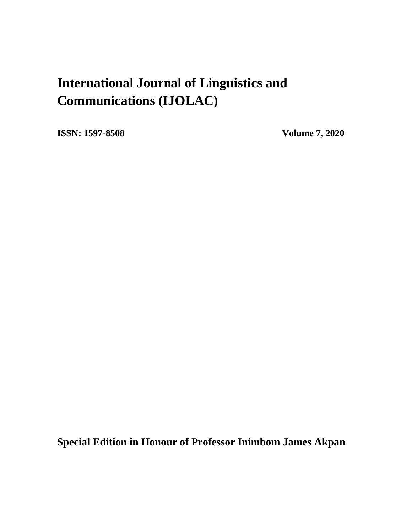# **International Journal of Linguistics and Communications (IJOLAC)**

**ISSN: 1597-8508 Volume 7, 2020**

**Special Edition in Honour of Professor Inimbom James Akpan**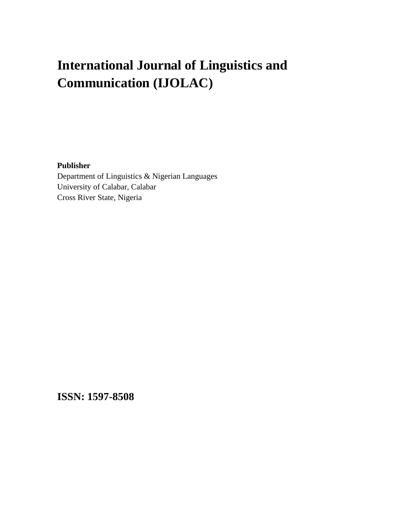# **International Journal of Linguistics and Communication (IJOLAC)**

#### **Publisher**

Department of Linguistics & Nigerian Languages University of Calabar, Calabar Cross River State, Nigeria

**ISSN: 1597-8508**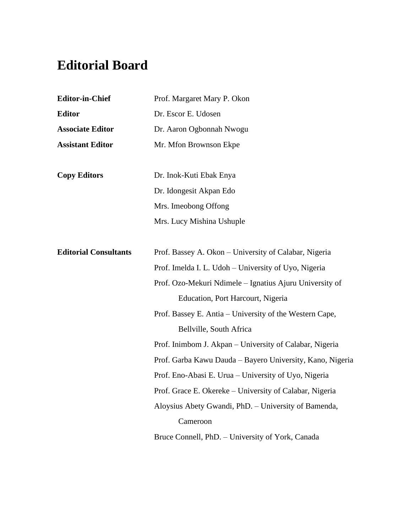## **Editorial Board**

| <b>Editor-in-Chief</b>       | Prof. Margaret Mary P. Okon                               |  |  |  |  |
|------------------------------|-----------------------------------------------------------|--|--|--|--|
| <b>Editor</b>                | Dr. Escor E. Udosen                                       |  |  |  |  |
| <b>Associate Editor</b>      | Dr. Aaron Ogbonnah Nwogu                                  |  |  |  |  |
| <b>Assistant Editor</b>      | Mr. Mfon Brownson Ekpe                                    |  |  |  |  |
|                              |                                                           |  |  |  |  |
| <b>Copy Editors</b>          | Dr. Inok-Kuti Ebak Enya                                   |  |  |  |  |
|                              | Dr. Idongesit Akpan Edo                                   |  |  |  |  |
|                              | Mrs. Imeobong Offong                                      |  |  |  |  |
|                              | Mrs. Lucy Mishina Ushuple                                 |  |  |  |  |
|                              |                                                           |  |  |  |  |
| <b>Editorial Consultants</b> | Prof. Bassey A. Okon – University of Calabar, Nigeria     |  |  |  |  |
|                              | Prof. Imelda I. L. Udoh - University of Uyo, Nigeria      |  |  |  |  |
|                              | Prof. Ozo-Mekuri Ndimele - Ignatius Ajuru University of   |  |  |  |  |
|                              | Education, Port Harcourt, Nigeria                         |  |  |  |  |
|                              | Prof. Bassey E. Antia - University of the Western Cape,   |  |  |  |  |
|                              | Bellville, South Africa                                   |  |  |  |  |
|                              | Prof. Inimbom J. Akpan - University of Calabar, Nigeria   |  |  |  |  |
|                              | Prof. Garba Kawu Dauda - Bayero University, Kano, Nigeria |  |  |  |  |
|                              | Prof. Eno-Abasi E. Urua - University of Uyo, Nigeria      |  |  |  |  |
|                              | Prof. Grace E. Okereke – University of Calabar, Nigeria   |  |  |  |  |
|                              | Aloysius Abety Gwandi, PhD. - University of Bamenda,      |  |  |  |  |
|                              | Cameroon                                                  |  |  |  |  |
|                              | Bruce Connell, PhD. - University of York, Canada          |  |  |  |  |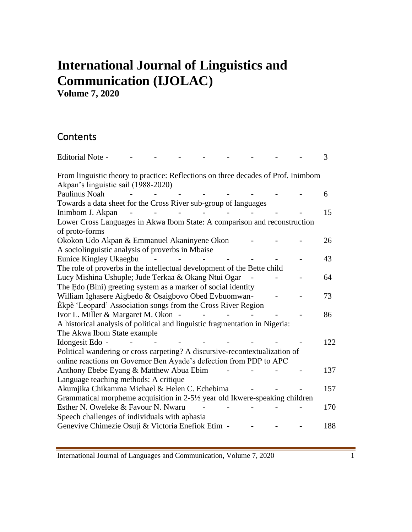# **International Journal of Linguistics and Communication (IJOLAC)**

**Volume 7, 2020**

## **Contents**

| <b>Editorial Note -</b>                                                           |  | 3   |
|-----------------------------------------------------------------------------------|--|-----|
| From linguistic theory to practice: Reflections on three decades of Prof. Inimbom |  |     |
| Akpan's linguistic sail (1988-2020)                                               |  |     |
| <b>Paulinus Noah</b>                                                              |  | 6   |
| Towards a data sheet for the Cross River sub-group of languages                   |  |     |
| Inimbom J. Akpan                                                                  |  | 15  |
| Lower Cross Languages in Akwa Ibom State: A comparison and reconstruction         |  |     |
| of proto-forms                                                                    |  |     |
| Okokon Udo Akpan & Emmanuel Akaninyene Okon                                       |  | 26  |
| A sociolinguistic analysis of proverbs in Mbaise                                  |  |     |
| Eunice Kingley Ukaegbu                                                            |  | 43  |
| The role of proverbs in the intellectual development of the Bette child           |  |     |
| Lucy Mishina Ushuple; Jude Terkaa & Okang Ntui Ogar                               |  | 64  |
| The Edo (Bini) greeting system as a marker of social identity                     |  |     |
| William Ighasere Aigbedo & Osaigbovo Obed Evbuomwan-                              |  | 73  |
| Ékpè 'Leopard' Association songs from the Cross River Region                      |  |     |
| Ivor L. Miller & Margaret M. Okon -                                               |  | 86  |
| A historical analysis of political and linguistic fragmentation in Nigeria:       |  |     |
| The Akwa Ibom State example                                                       |  |     |
| Idongesit Edo -<br>$\overline{\phantom{a}}$                                       |  | 122 |
| Political wandering or cross carpeting? A discursive-recontextualization of       |  |     |
| online reactions on Governor Ben Ayade's defection from PDP to APC                |  |     |
| Anthony Ebebe Eyang & Matthew Abua Ebim                                           |  | 137 |
| Language teaching methods: A critique                                             |  |     |
| Akumjika Chikamma Michael & Helen C. Echebima                                     |  | 157 |
| Grammatical morpheme acquisition in 2-5½ year old Ikwere-speaking children        |  |     |
| Esther N. Oweleke & Favour N. Nwaru                                               |  | 170 |
| Speech challenges of individuals with aphasia                                     |  |     |
| Genevive Chimezie Osuji & Victoria Enefiok Etim -                                 |  | 188 |